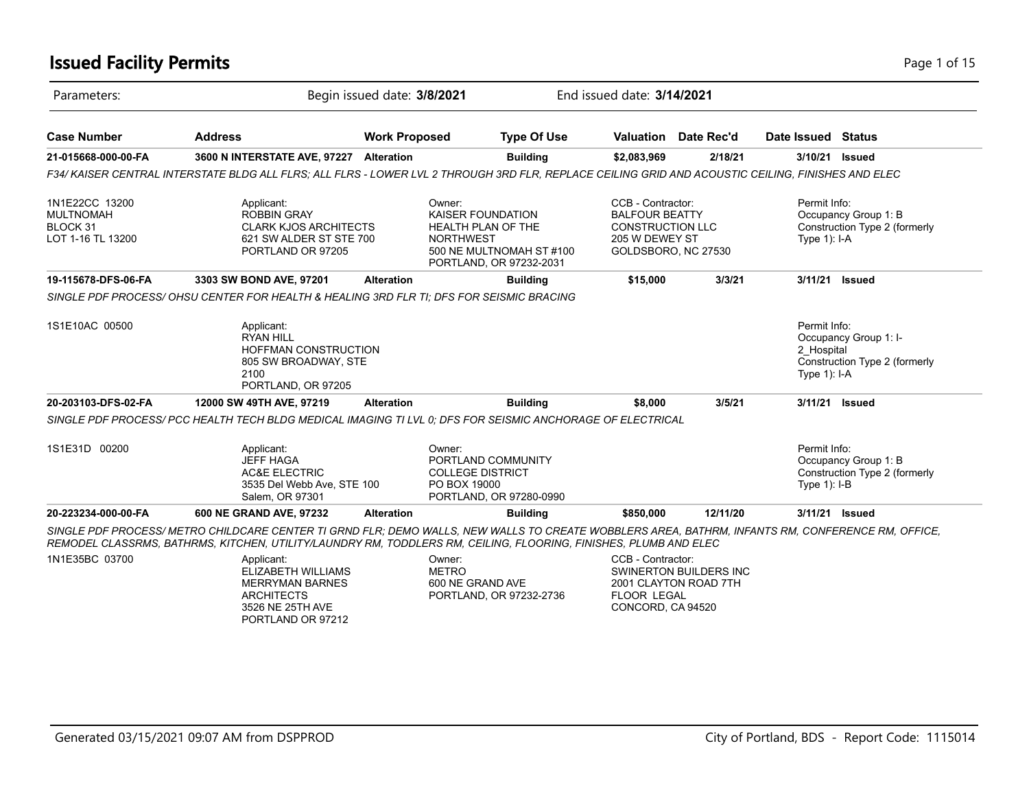### **Issued Facility Permits** Page 1 of 15

| Parameters:                                                         |                                                                                                                                                                                                                                                                       | Begin issued date: 3/8/2021 |                                                                                                                                     | End issued date: 3/14/2021                                                                                     |                                                        |                                              |                                                        |
|---------------------------------------------------------------------|-----------------------------------------------------------------------------------------------------------------------------------------------------------------------------------------------------------------------------------------------------------------------|-----------------------------|-------------------------------------------------------------------------------------------------------------------------------------|----------------------------------------------------------------------------------------------------------------|--------------------------------------------------------|----------------------------------------------|--------------------------------------------------------|
| <b>Case Number</b>                                                  | <b>Address</b>                                                                                                                                                                                                                                                        | <b>Work Proposed</b>        | <b>Type Of Use</b>                                                                                                                  |                                                                                                                | Valuation Date Rec'd                                   | Date Issued Status                           |                                                        |
| 21-015668-000-00-FA                                                 | 3600 N INTERSTATE AVE, 97227 Alteration                                                                                                                                                                                                                               |                             | <b>Building</b>                                                                                                                     | \$2,083,969                                                                                                    | 2/18/21                                                | 3/10/21                                      | <b>Issued</b>                                          |
|                                                                     | F34/ KAISER CENTRAL INTERSTATE BLDG ALL FLRS: ALL FLRS - LOWER LVL 2 THROUGH 3RD FLR. REPLACE CEILING GRID AND ACOUSTIC CEILING. FINISHES AND ELEC                                                                                                                    |                             |                                                                                                                                     |                                                                                                                |                                                        |                                              |                                                        |
| 1N1E22CC 13200<br><b>MULTNOMAH</b><br>BLOCK 31<br>LOT 1-16 TL 13200 | Applicant:<br><b>ROBBIN GRAY</b><br><b>CLARK KJOS ARCHITECTS</b><br>621 SW ALDER ST STE 700<br>PORTLAND OR 97205                                                                                                                                                      |                             | Owner:<br>KAISER FOUNDATION<br><b>HEALTH PLAN OF THE</b><br><b>NORTHWEST</b><br>500 NE MULTNOMAH ST #100<br>PORTLAND, OR 97232-2031 | CCB - Contractor:<br><b>BALFOUR BEATTY</b><br><b>CONSTRUCTION LLC</b><br>205 W DEWEY ST<br>GOLDSBORO, NC 27530 |                                                        | Permit Info:<br>Type $1$ : I-A               | Occupancy Group 1: B<br>Construction Type 2 (formerly  |
| 19-115678-DFS-06-FA                                                 | 3303 SW BOND AVE, 97201                                                                                                                                                                                                                                               | <b>Alteration</b>           | <b>Building</b>                                                                                                                     | \$15,000                                                                                                       | 3/3/21                                                 |                                              | 3/11/21 Issued                                         |
|                                                                     | SINGLE PDF PROCESS/OHSU CENTER FOR HEALTH & HEALING 3RD FLR TI; DFS FOR SEISMIC BRACING                                                                                                                                                                               |                             |                                                                                                                                     |                                                                                                                |                                                        |                                              |                                                        |
| 1S1E10AC 00500                                                      | Applicant:<br><b>RYAN HILL</b><br>HOFFMAN CONSTRUCTION<br>805 SW BROADWAY, STE<br>2100<br>PORTLAND, OR 97205                                                                                                                                                          |                             |                                                                                                                                     |                                                                                                                |                                                        | Permit Info:<br>2 Hospital<br>Type $1$ : I-A | Occupancy Group 1: I-<br>Construction Type 2 (formerly |
| 20-203103-DFS-02-FA                                                 | 12000 SW 49TH AVE, 97219                                                                                                                                                                                                                                              | <b>Alteration</b>           | <b>Building</b>                                                                                                                     | \$8,000                                                                                                        | 3/5/21                                                 |                                              | 3/11/21 Issued                                         |
|                                                                     | SINGLE PDF PROCESS/ PCC HEALTH TECH BLDG MEDICAL IMAGING TI LVL 0; DFS FOR SEISMIC ANCHORAGE OF ELECTRICAL                                                                                                                                                            |                             |                                                                                                                                     |                                                                                                                |                                                        |                                              |                                                        |
| 1S1E31D 00200                                                       | Applicant:<br><b>JEFF HAGA</b><br><b>AC&amp;E ELECTRIC</b><br>3535 Del Webb Ave, STE 100<br>Salem, OR 97301                                                                                                                                                           |                             | Owner:<br>PORTLAND COMMUNITY<br><b>COLLEGE DISTRICT</b><br>PO BOX 19000<br>PORTLAND, OR 97280-0990                                  |                                                                                                                |                                                        | Permit Info:<br>Type $1$ : I-B               | Occupancy Group 1: B<br>Construction Type 2 (formerly  |
| 20-223234-000-00-FA                                                 | 600 NE GRAND AVE, 97232                                                                                                                                                                                                                                               | <b>Alteration</b>           | <b>Building</b>                                                                                                                     | \$850,000                                                                                                      | 12/11/20                                               |                                              | 3/11/21 Issued                                         |
|                                                                     | SINGLE PDF PROCESS/ METRO CHILDCARE CENTER TI GRND FLR; DEMO WALLS, NEW WALLS TO CREATE WOBBLERS AREA, BATHRM, INFANTS RM, CONFERENCE RM, OFFICE,<br>REMODEL CLASSRMS, BATHRMS, KITCHEN, UTILITY/LAUNDRY RM, TODDLERS RM, CEILING, FLOORING, FINISHES, PLUMB AND ELEC |                             |                                                                                                                                     |                                                                                                                |                                                        |                                              |                                                        |
| 1N1E35BC 03700                                                      | Applicant:<br>ELIZABETH WILLIAMS<br><b>MERRYMAN BARNES</b><br><b>ARCHITECTS</b><br>3526 NE 25TH AVE<br>PORTLAND OR 97212                                                                                                                                              |                             | Owner:<br><b>METRO</b><br>600 NE GRAND AVE<br>PORTLAND, OR 97232-2736                                                               | CCB - Contractor:<br><b>FLOOR LEGAL</b><br>CONCORD, CA 94520                                                   | <b>SWINERTON BUILDERS INC</b><br>2001 CLAYTON ROAD 7TH |                                              |                                                        |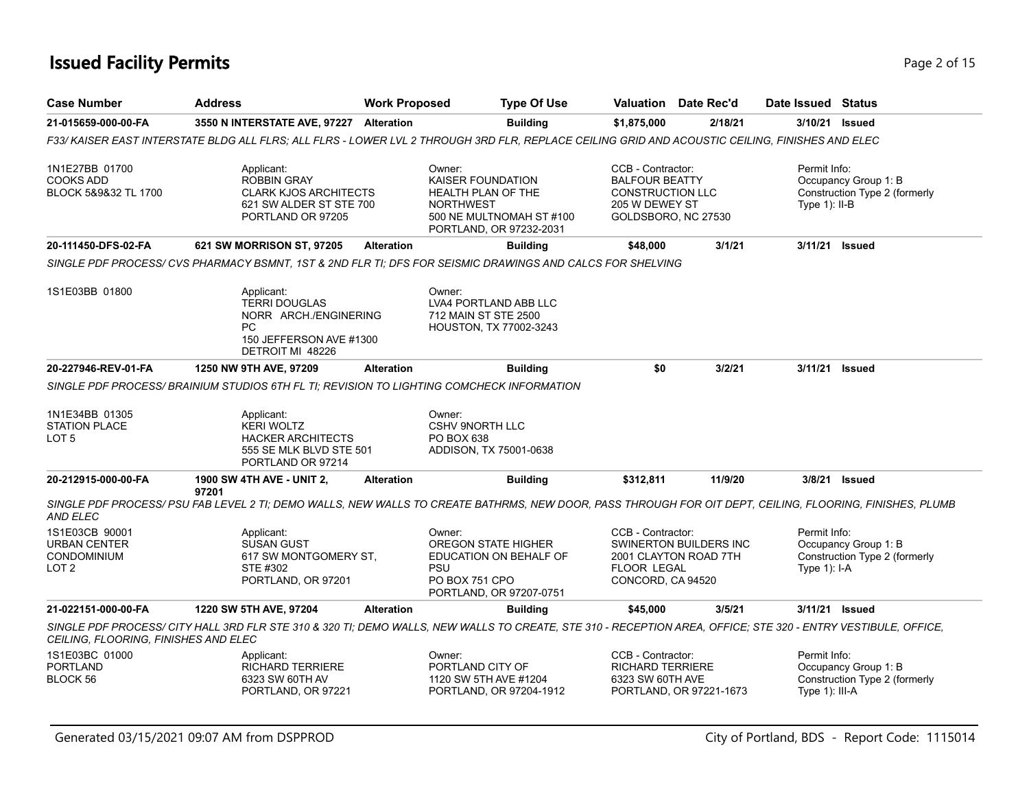### **Issued Facility Permits** Page 2 of 15

| <b>Case Number</b>                                                       | <b>Address</b>                                                                                                                                                | <b>Work Proposed</b> |                                                                              | <b>Type Of Use</b>                                                              |                                                                                                                | Valuation Date Rec'd                            | Date Issued Status              |                                                       |
|--------------------------------------------------------------------------|---------------------------------------------------------------------------------------------------------------------------------------------------------------|----------------------|------------------------------------------------------------------------------|---------------------------------------------------------------------------------|----------------------------------------------------------------------------------------------------------------|-------------------------------------------------|---------------------------------|-------------------------------------------------------|
| 21-015659-000-00-FA                                                      | 3550 N INTERSTATE AVE, 97227 Alteration                                                                                                                       |                      |                                                                              | <b>Building</b>                                                                 | \$1,875,000                                                                                                    | 2/18/21                                         |                                 | 3/10/21 Issued                                        |
|                                                                          | F33/ KAISER EAST INTERSTATE BLDG ALL FLRS; ALL FLRS - LOWER LVL 2 THROUGH 3RD FLR, REPLACE CEILING GRID AND ACOUSTIC CEILING, FINISHES AND ELEC               |                      |                                                                              |                                                                                 |                                                                                                                |                                                 |                                 |                                                       |
| 1N1E27BB 01700<br><b>COOKS ADD</b><br>BLOCK 5&9&32 TL 1700               | Applicant:<br><b>ROBBIN GRAY</b><br><b>CLARK KJOS ARCHITECTS</b><br>621 SW ALDER ST STE 700<br>PORTLAND OR 97205                                              |                      | Owner:<br>KAISER FOUNDATION<br><b>HEALTH PLAN OF THE</b><br><b>NORTHWEST</b> | 500 NE MULTNOMAH ST #100<br>PORTLAND, OR 97232-2031                             | CCB - Contractor:<br><b>BALFOUR BEATTY</b><br><b>CONSTRUCTION LLC</b><br>205 W DEWEY ST<br>GOLDSBORO, NC 27530 |                                                 | Permit Info:<br>Type $1$ : II-B | Occupancy Group 1: B<br>Construction Type 2 (formerly |
| 20-111450-DFS-02-FA                                                      | 621 SW MORRISON ST, 97205                                                                                                                                     | <b>Alteration</b>    |                                                                              | <b>Building</b>                                                                 | \$48,000                                                                                                       | 3/1/21                                          | 3/11/21                         | <b>Issued</b>                                         |
|                                                                          | SINGLE PDF PROCESS/ CVS PHARMACY BSMNT, 1ST & 2ND FLR TI; DFS FOR SEISMIC DRAWINGS AND CALCS FOR SHELVING                                                     |                      |                                                                              |                                                                                 |                                                                                                                |                                                 |                                 |                                                       |
| 1S1E03BB 01800                                                           | Applicant:<br><b>TERRI DOUGLAS</b><br>NORR ARCH./ENGINERING<br>PC.<br>150 JEFFERSON AVE #1300<br>DETROIT MI 48226                                             |                      | Owner:<br>712 MAIN ST STE 2500                                               | LVA4 PORTLAND ABB LLC<br><b>HOUSTON, TX 77002-3243</b>                          |                                                                                                                |                                                 |                                 |                                                       |
| 20-227946-REV-01-FA                                                      | 1250 NW 9TH AVE, 97209                                                                                                                                        | <b>Alteration</b>    |                                                                              | <b>Building</b>                                                                 | \$0                                                                                                            | 3/2/21                                          | 3/11/21                         | <b>Issued</b>                                         |
|                                                                          | SINGLE PDF PROCESS/ BRAINIUM STUDIOS 6TH FL TI; REVISION TO LIGHTING COMCHECK INFORMATION                                                                     |                      |                                                                              |                                                                                 |                                                                                                                |                                                 |                                 |                                                       |
| 1N1E34BB 01305<br><b>STATION PLACE</b><br>LOT 5                          | Applicant:<br><b>KERI WOLTZ</b><br><b>HACKER ARCHITECTS</b><br>555 SE MLK BLVD STE 501<br>PORTLAND OR 97214                                                   |                      | Owner:<br><b>CSHV 9NORTH LLC</b><br>PO BOX 638                               | ADDISON, TX 75001-0638                                                          |                                                                                                                |                                                 |                                 |                                                       |
| 20-212915-000-00-FA                                                      | <b>1900 SW 4TH AVE - UNIT 2,</b><br>97201                                                                                                                     | <b>Alteration</b>    |                                                                              | <b>Building</b>                                                                 | \$312,811                                                                                                      | 11/9/20                                         | 3/8/21                          | Issued                                                |
| AND ELEC                                                                 | SINGLE PDF PROCESS/PSU FAB LEVEL 2 TI; DEMO WALLS, NEW WALLS TO CREATE BATHRMS, NEW DOOR, PASS THROUGH FOR OIT DEPT, CEILING, FLOORING, FINISHES, PLUMB       |                      |                                                                              |                                                                                 |                                                                                                                |                                                 |                                 |                                                       |
| 1S1E03CB 90001<br><b>URBAN CENTER</b><br>CONDOMINIUM<br>LOT <sub>2</sub> | Applicant:<br><b>SUSAN GUST</b><br>617 SW MONTGOMERY ST.<br>STE #302<br>PORTLAND, OR 97201                                                                    |                      | Owner:<br><b>PSU</b><br>PO BOX 751 CPO                                       | <b>OREGON STATE HIGHER</b><br>EDUCATION ON BEHALF OF<br>PORTLAND, OR 97207-0751 | CCB - Contractor:<br><b>FLOOR LEGAL</b><br>CONCORD, CA 94520                                                   | SWINERTON BUILDERS INC<br>2001 CLAYTON ROAD 7TH | Permit Info:<br>Type $1$ ): I-A | Occupancy Group 1: B<br>Construction Type 2 (formerly |
| 21-022151-000-00-FA                                                      | 1220 SW 5TH AVE, 97204                                                                                                                                        | <b>Alteration</b>    |                                                                              | <b>Building</b>                                                                 | \$45,000                                                                                                       | 3/5/21                                          | 3/11/21                         | Issued                                                |
| CEILING, FLOORING, FINISHES AND ELEC                                     | SINGLE PDF PROCESS/ CITY HALL 3RD FLR STE 310 & 320 TI; DEMO WALLS, NEW WALLS TO CREATE, STE 310 - RECEPTION AREA, OFFICE; STE 320 - ENTRY VESTIBULE, OFFICE, |                      |                                                                              |                                                                                 |                                                                                                                |                                                 |                                 |                                                       |
| 1S1E03BC 01000                                                           | Applicant:                                                                                                                                                    |                      | Owner:                                                                       |                                                                                 | CCB - Contractor:                                                                                              |                                                 | Permit Info:                    |                                                       |
| PORTLAND<br>BLOCK 56                                                     | <b>RICHARD TERRIERE</b><br>6323 SW 60TH AV<br>PORTLAND, OR 97221                                                                                              |                      | PORTLAND CITY OF<br>1120 SW 5TH AVE #1204                                    | PORTLAND, OR 97204-1912                                                         | <b>RICHARD TERRIERE</b><br>6323 SW 60TH AVE                                                                    | PORTLAND, OR 97221-1673                         | Type $1$ : III-A                | Occupancy Group 1: B<br>Construction Type 2 (formerly |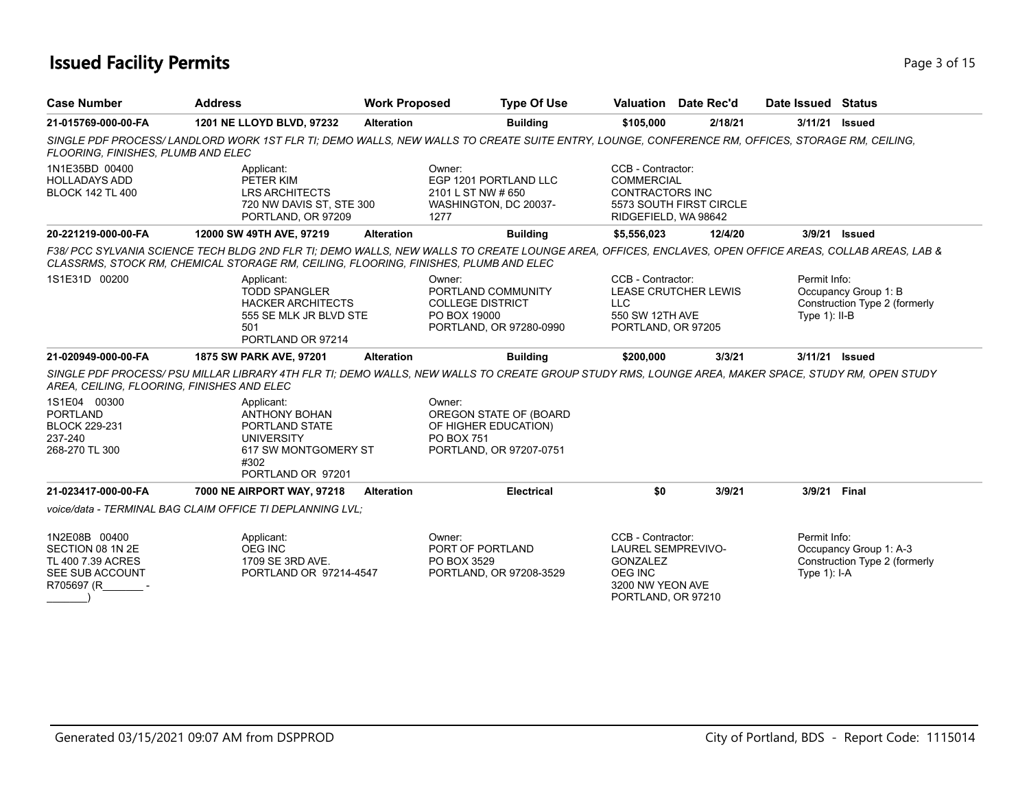### **Issued Facility Permits** Page 1 of 15

| <b>Case Number</b>                                                                      | <b>Address</b>                                                                                                                                                                                                                                 | <b>Work Proposed</b> | <b>Type Of Use</b>                                                                                       |                                                                                                                        | Valuation Date Rec'd        | Date Issued Status               |                                                         |
|-----------------------------------------------------------------------------------------|------------------------------------------------------------------------------------------------------------------------------------------------------------------------------------------------------------------------------------------------|----------------------|----------------------------------------------------------------------------------------------------------|------------------------------------------------------------------------------------------------------------------------|-----------------------------|----------------------------------|---------------------------------------------------------|
| 21-015769-000-00-FA                                                                     | 1201 NE LLOYD BLVD, 97232                                                                                                                                                                                                                      | <b>Alteration</b>    | <b>Building</b>                                                                                          | \$105,000                                                                                                              | 2/18/21                     | 3/11/21                          | <b>Issued</b>                                           |
| FLOORING, FINISHES, PLUMB AND ELEC                                                      | SINGLE PDF PROCESS/LANDLORD WORK 1ST FLR TI; DEMO WALLS, NEW WALLS TO CREATE SUITE ENTRY, LOUNGE, CONFERENCE RM, OFFICES, STORAGE RM, CEILING,                                                                                                 |                      |                                                                                                          |                                                                                                                        |                             |                                  |                                                         |
| 1N1E35BD 00400<br><b>HOLLADAYS ADD</b><br><b>BLOCK 142 TL 400</b>                       | Applicant:<br>PETER KIM<br>LRS ARCHITECTS<br>720 NW DAVIS ST, STE 300<br>PORTLAND, OR 97209                                                                                                                                                    |                      | Owner:<br>EGP 1201 PORTLAND LLC<br>2101 L ST NW # 650<br>WASHINGTON, DC 20037-<br>1277                   | CCB - Contractor:<br><b>COMMERCIAL</b><br>CONTRACTORS INC<br>RIDGEFIELD, WA 98642                                      | 5573 SOUTH FIRST CIRCLE     |                                  |                                                         |
| 20-221219-000-00-FA                                                                     | 12000 SW 49TH AVE, 97219                                                                                                                                                                                                                       | <b>Alteration</b>    | <b>Building</b>                                                                                          | \$5,556,023                                                                                                            | 12/4/20                     | 3/9/21                           | <b>Issued</b>                                           |
|                                                                                         | F38/ PCC SYLVANIA SCIENCE TECH BLDG 2ND FLR TI; DEMO WALLS, NEW WALLS TO CREATE LOUNGE AREA, OFFICES, ENCLAVES, OPEN OFFICE AREAS, COLLAB AREAS, LAB &<br>CLASSRMS, STOCK RM, CHEMICAL STORAGE RM, CEILING, FLOORING, FINISHES, PLUMB AND ELEC |                      |                                                                                                          |                                                                                                                        |                             |                                  |                                                         |
| 1S1E31D 00200                                                                           | Applicant:<br><b>TODD SPANGLER</b><br><b>HACKER ARCHITECTS</b><br>555 SE MLK JR BLVD STE<br>501<br>PORTLAND OR 97214                                                                                                                           |                      | Owner:<br>PORTLAND COMMUNITY<br><b>COLLEGE DISTRICT</b><br>PO BOX 19000<br>PORTLAND, OR 97280-0990       | CCB - Contractor:<br><b>LLC</b><br>550 SW 12TH AVE<br>PORTLAND, OR 97205                                               | <b>LEASE CRUTCHER LEWIS</b> | Permit Info:<br>Type $1$ ): II-B | Occupancy Group 1: B<br>Construction Type 2 (formerly   |
| 21-020949-000-00-FA                                                                     | 1875 SW PARK AVE, 97201                                                                                                                                                                                                                        | <b>Alteration</b>    | <b>Building</b>                                                                                          | \$200,000                                                                                                              | 3/3/21                      | 3/11/21 Issued                   |                                                         |
| AREA, CEILING, FLOORING, FINISHES AND ELEC                                              | SINGLE PDF PROCESS/ PSU MILLAR LIBRARY 4TH FLR TI; DEMO WALLS, NEW WALLS TO CREATE GROUP STUDY RMS, LOUNGE AREA, MAKER SPACE, STUDY RM, OPEN STUDY                                                                                             |                      |                                                                                                          |                                                                                                                        |                             |                                  |                                                         |
| 1S1E04 00300<br><b>PORTLAND</b><br><b>BLOCK 229-231</b><br>237-240<br>268-270 TL 300    | Applicant:<br><b>ANTHONY BOHAN</b><br>PORTLAND STATE<br><b>UNIVERSITY</b><br>617 SW MONTGOMERY ST<br>#302<br>PORTLAND OR 97201                                                                                                                 |                      | Owner:<br>OREGON STATE OF (BOARD<br>OF HIGHER EDUCATION)<br><b>PO BOX 751</b><br>PORTLAND, OR 97207-0751 |                                                                                                                        |                             |                                  |                                                         |
| 21-023417-000-00-FA                                                                     | 7000 NE AIRPORT WAY, 97218                                                                                                                                                                                                                     | <b>Alteration</b>    | <b>Electrical</b>                                                                                        | \$0                                                                                                                    | 3/9/21                      | 3/9/21 Final                     |                                                         |
|                                                                                         | voice/data - TERMINAL BAG CLAIM OFFICE TI DEPLANNING LVL:                                                                                                                                                                                      |                      |                                                                                                          |                                                                                                                        |                             |                                  |                                                         |
| 1N2E08B 00400<br>SECTION 08 1N 2E<br>TL 400 7.39 ACRES<br>SEE SUB ACCOUNT<br>R705697 (R | Applicant:<br><b>OEG INC</b><br>1709 SE 3RD AVE.<br>PORTLAND OR 97214-4547                                                                                                                                                                     |                      | Owner:<br>PORT OF PORTLAND<br>PO BOX 3529<br>PORTLAND, OR 97208-3529                                     | CCB - Contractor:<br><b>LAUREL SEMPREVIVO-</b><br>GONZALEZ<br><b>OEG INC</b><br>3200 NW YEON AVE<br>PORTLAND, OR 97210 |                             | Permit Info:<br>Type $1$ : I-A   | Occupancy Group 1: A-3<br>Construction Type 2 (formerly |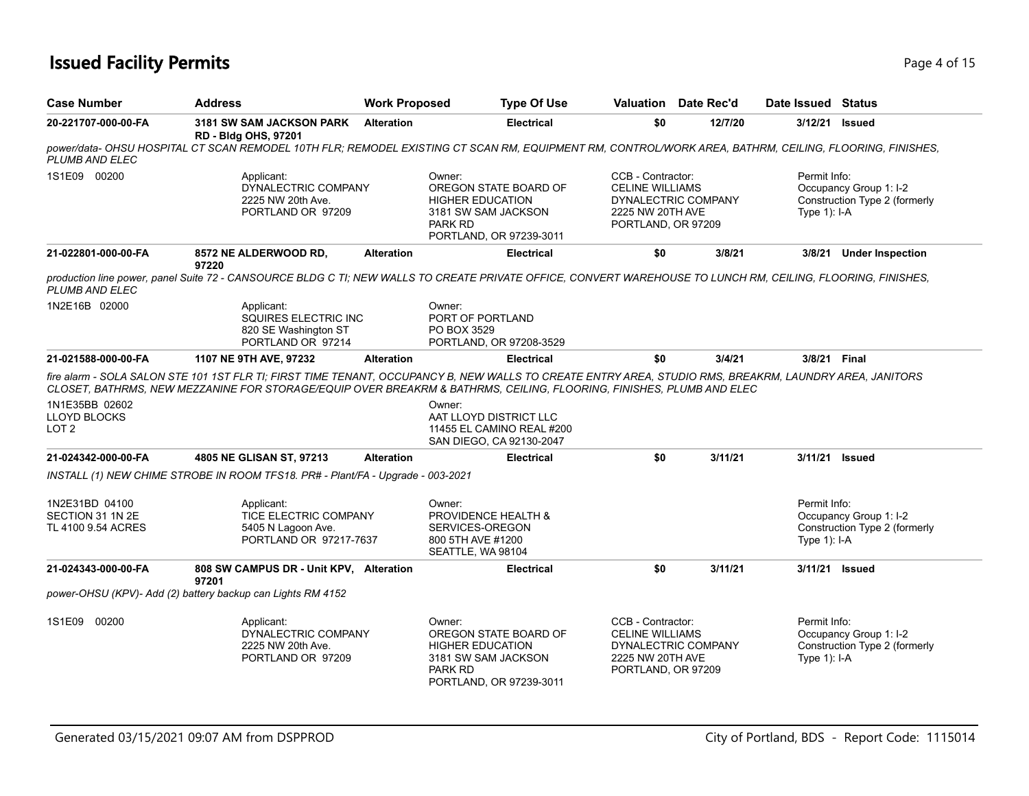### **Issued Facility Permits** Page 4 of 15

| <b>Case Number</b>                                       | <b>Address</b>                                                                             | <b>Work Proposed</b> | <b>Type Of Use</b>                                                                                                                                                                                                                                                                        |                                                                                       | <b>Valuation</b> Date Rec'd | Date Issued Status             |                                                         |
|----------------------------------------------------------|--------------------------------------------------------------------------------------------|----------------------|-------------------------------------------------------------------------------------------------------------------------------------------------------------------------------------------------------------------------------------------------------------------------------------------|---------------------------------------------------------------------------------------|-----------------------------|--------------------------------|---------------------------------------------------------|
| 20-221707-000-00-FA                                      | <b>3181 SW SAM JACKSON PARK</b><br><b>RD - Bldg OHS, 97201</b>                             | <b>Alteration</b>    | <b>Electrical</b>                                                                                                                                                                                                                                                                         | \$0                                                                                   | 12/7/20                     | 3/12/21                        | Issued                                                  |
| <b>PLUMB AND ELEC</b>                                    |                                                                                            |                      | power/data- OHSU HOSPITAL CT SCAN REMODEL 10TH FLR; REMODEL EXISTING CT SCAN RM, EQUIPMENT RM, CONTROL/WORK AREA, BATHRM, CEILING, FLOORING, FINISHES,                                                                                                                                    |                                                                                       |                             |                                |                                                         |
| 1S1E09 00200                                             | Applicant:<br>DYNALECTRIC COMPANY<br>2225 NW 20th Ave.<br>PORTLAND OR 97209                |                      | Owner:<br>OREGON STATE BOARD OF<br><b>HIGHER EDUCATION</b><br>3181 SW SAM JACKSON<br>PARK RD<br>PORTLAND, OR 97239-3011                                                                                                                                                                   | CCB - Contractor:<br><b>CELINE WILLIAMS</b><br>2225 NW 20TH AVE<br>PORTLAND, OR 97209 | DYNALECTRIC COMPANY         | Permit Info:<br>Type $1$ : I-A | Occupancy Group 1: I-2<br>Construction Type 2 (formerly |
| 21-022801-000-00-FA                                      | 8572 NE ALDERWOOD RD,<br>97220                                                             | <b>Alteration</b>    | <b>Electrical</b>                                                                                                                                                                                                                                                                         | \$0                                                                                   | 3/8/21                      | 3/8/21                         | <b>Under Inspection</b>                                 |
| PLUMB AND ELEC                                           |                                                                                            |                      | production line power, panel Suite 72 - CANSOURCE BLDG C TI; NEW WALLS TO CREATE PRIVATE OFFICE, CONVERT WAREHOUSE TO LUNCH RM, CEILING, FLOORING, FINISHES,                                                                                                                              |                                                                                       |                             |                                |                                                         |
| 1N2E16B 02000                                            | Applicant:<br>SQUIRES ELECTRIC INC<br>820 SE Washington ST<br>PORTLAND OR 97214            |                      | Owner:<br>PORT OF PORTLAND<br>PO BOX 3529<br>PORTLAND, OR 97208-3529                                                                                                                                                                                                                      |                                                                                       |                             |                                |                                                         |
| 21-021588-000-00-FA                                      | 1107 NE 9TH AVE, 97232                                                                     | <b>Alteration</b>    | <b>Electrical</b>                                                                                                                                                                                                                                                                         | \$0                                                                                   | 3/4/21                      | 3/8/21 Final                   |                                                         |
| 1N1E35BB 02602                                           |                                                                                            |                      | fire alarm - SOLA SALON STE 101 1ST FLR TI; FIRST TIME TENANT, OCCUPANCY B, NEW WALLS TO CREATE ENTRY AREA, STUDIO RMS, BREAKRM, LAUNDRY AREA, JANITORS<br>CLOSET, BATHRMS, NEW MEZZANINE FOR STORAGE/EQUIP OVER BREAKRM & BATHRMS, CEILING, FLOORING, FINISHES, PLUMB AND ELEC<br>Owner: |                                                                                       |                             |                                |                                                         |
| LLOYD BLOCKS<br>LOT <sub>2</sub>                         |                                                                                            |                      | AAT LLOYD DISTRICT LLC<br>11455 EL CAMINO REAL #200<br>SAN DIEGO, CA 92130-2047                                                                                                                                                                                                           |                                                                                       |                             |                                |                                                         |
| 21-024342-000-00-FA                                      | 4805 NE GLISAN ST, 97213                                                                   | <b>Alteration</b>    | <b>Electrical</b>                                                                                                                                                                                                                                                                         | \$0                                                                                   | 3/11/21                     | 3/11/21 Issued                 |                                                         |
|                                                          | INSTALL (1) NEW CHIME STROBE IN ROOM TFS18. PR# - Plant/FA - Upgrade - 003-2021            |                      |                                                                                                                                                                                                                                                                                           |                                                                                       |                             |                                |                                                         |
| 1N2E31BD 04100<br>SECTION 31 1N 2E<br>TL 4100 9.54 ACRES | Applicant:<br><b>TICE ELECTRIC COMPANY</b><br>5405 N Lagoon Ave.<br>PORTLAND OR 97217-7637 |                      | Owner:<br><b>PROVIDENCE HEALTH &amp;</b><br>SERVICES-OREGON<br>800 5TH AVE #1200<br>SEATTLE, WA 98104                                                                                                                                                                                     |                                                                                       |                             | Permit Info:<br>Type 1): I-A   | Occupancy Group 1: I-2<br>Construction Type 2 (formerly |
| 21-024343-000-00-FA                                      | 808 SW CAMPUS DR - Unit KPV, Alteration<br>97201                                           |                      | <b>Electrical</b>                                                                                                                                                                                                                                                                         | \$0                                                                                   | 3/11/21                     | 3/11/21 Issued                 |                                                         |
|                                                          | power-OHSU (KPV)- Add (2) battery backup can Lights RM 4152                                |                      |                                                                                                                                                                                                                                                                                           |                                                                                       |                             |                                |                                                         |
| 1S1E09 00200                                             | Applicant:<br>DYNALECTRIC COMPANY<br>2225 NW 20th Ave.<br>PORTLAND OR 97209                |                      | Owner:<br>OREGON STATE BOARD OF<br><b>HIGHER EDUCATION</b><br>3181 SW SAM JACKSON<br><b>PARK RD</b><br>PORTLAND, OR 97239-3011                                                                                                                                                            | CCB - Contractor:<br><b>CELINE WILLIAMS</b><br>2225 NW 20TH AVE<br>PORTLAND, OR 97209 | DYNALECTRIC COMPANY         | Permit Info:<br>Type $1$ : I-A | Occupancy Group 1: I-2<br>Construction Type 2 (formerly |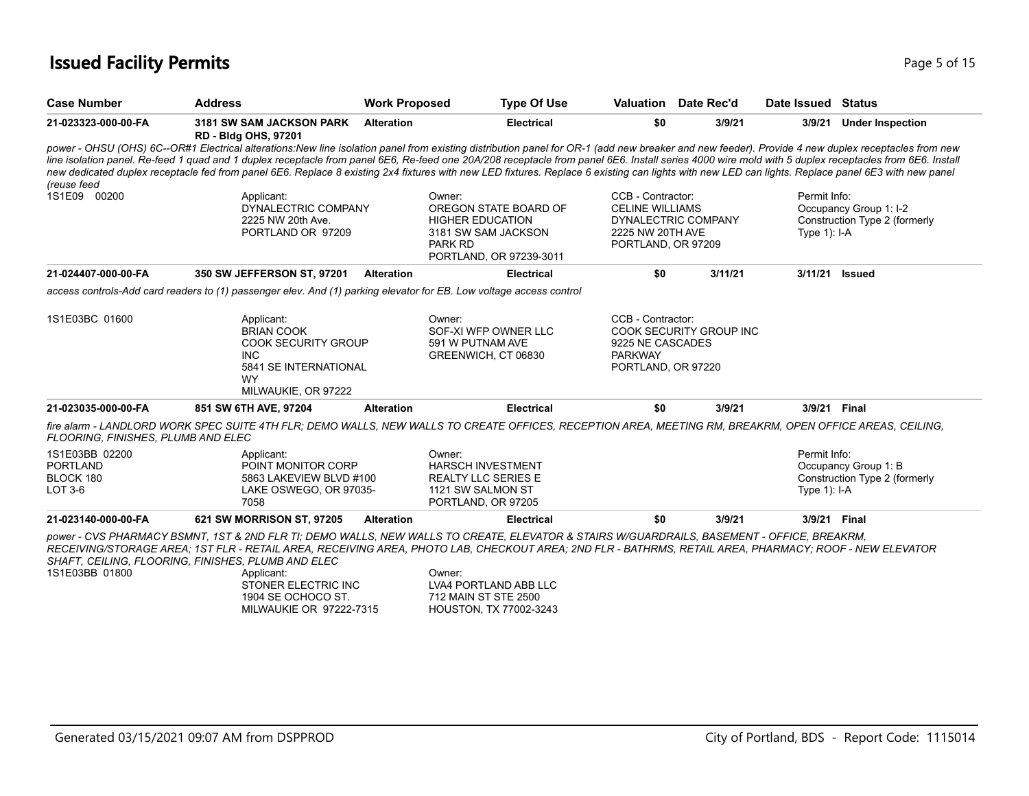### **Issued Facility Permits** Page 15 of 15

| <b>Case Number</b>                                        | <b>Address</b>                                                                                                                    | <b>Work Proposed</b> | <b>Type Of Use</b>                                                                                                                                                                                                                                                                                                                                                                                                                                                                                                                                                                                               |                                                                                       | Valuation Date Rec'd    | Date Issued                    | <b>Status</b>                                           |
|-----------------------------------------------------------|-----------------------------------------------------------------------------------------------------------------------------------|----------------------|------------------------------------------------------------------------------------------------------------------------------------------------------------------------------------------------------------------------------------------------------------------------------------------------------------------------------------------------------------------------------------------------------------------------------------------------------------------------------------------------------------------------------------------------------------------------------------------------------------------|---------------------------------------------------------------------------------------|-------------------------|--------------------------------|---------------------------------------------------------|
| 21-023323-000-00-FA                                       | 3181 SW SAM JACKSON PARK<br><b>RD - Bldg OHS, 97201</b>                                                                           | <b>Alteration</b>    | <b>Electrical</b>                                                                                                                                                                                                                                                                                                                                                                                                                                                                                                                                                                                                | \$0                                                                                   | 3/9/21                  | 3/9/21                         | <b>Under Inspection</b>                                 |
| (reuse feed                                               |                                                                                                                                   |                      | power - OHSU (OHS) 6C--OR#1 Electrical alterations:New line isolation panel from existing distribution panel for OR-1 (add new breaker and new feeder). Provide 4 new duplex receptacles from new<br>line isolation panel. Re-feed 1 quad and 1 duplex receptacle from panel 6E6, Re-feed one 20A/208 receptacle from panel 6E6. Install series 4000 wire mold with 5 duplex receptacles from 6E6. Install<br>new dedicated duplex receptacle fed from panel 6E6. Replace 8 existing 2x4 fixtures with new LED fixtures. Replace 6 existing can lights with new LED can lights. Replace panel 6E3 with new panel |                                                                                       |                         |                                |                                                         |
| 1S1E09 00200                                              | Applicant:<br>DYNALECTRIC COMPANY<br>2225 NW 20th Ave.<br>PORTLAND OR 97209                                                       |                      | Owner:<br>OREGON STATE BOARD OF<br><b>HIGHER EDUCATION</b><br>3181 SW SAM JACKSON<br><b>PARK RD</b><br>PORTLAND, OR 97239-3011                                                                                                                                                                                                                                                                                                                                                                                                                                                                                   | CCB - Contractor:<br><b>CELINE WILLIAMS</b><br>2225 NW 20TH AVE<br>PORTLAND, OR 97209 | DYNALECTRIC COMPANY     | Permit Info:<br>Type $1$ : I-A | Occupancy Group 1: I-2<br>Construction Type 2 (formerly |
| 21-024407-000-00-FA                                       | 350 SW JEFFERSON ST, 97201                                                                                                        | <b>Alteration</b>    | <b>Electrical</b>                                                                                                                                                                                                                                                                                                                                                                                                                                                                                                                                                                                                | \$0                                                                                   | 3/11/21                 | 3/11/21                        | <b>Issued</b>                                           |
|                                                           | access controls-Add card readers to (1) passenger elev. And (1) parking elevator for EB. Low voltage access control               |                      |                                                                                                                                                                                                                                                                                                                                                                                                                                                                                                                                                                                                                  |                                                                                       |                         |                                |                                                         |
| 1S1E03BC 01600                                            | Applicant:<br><b>BRIAN COOK</b><br><b>COOK SECURITY GROUP</b><br><b>INC</b><br>5841 SE INTERNATIONAL<br>WY<br>MILWAUKIE, OR 97222 |                      | Owner:<br>SOF-XI WFP OWNER LLC<br>591 W PUTNAM AVE<br>GREENWICH, CT 06830                                                                                                                                                                                                                                                                                                                                                                                                                                                                                                                                        | CCB - Contractor:<br>9225 NE CASCADES<br><b>PARKWAY</b><br>PORTLAND, OR 97220         | COOK SECURITY GROUP INC |                                |                                                         |
| 21-023035-000-00-FA                                       | 851 SW 6TH AVE, 97204                                                                                                             | <b>Alteration</b>    | <b>Electrical</b>                                                                                                                                                                                                                                                                                                                                                                                                                                                                                                                                                                                                | \$0                                                                                   | 3/9/21                  | 3/9/21 Final                   |                                                         |
| FLOORING, FINISHES, PLUMB AND ELEC                        |                                                                                                                                   |                      | fire alarm - LANDLORD WORK SPEC SUITE 4TH FLR; DEMO WALLS, NEW WALLS TO CREATE OFFICES, RECEPTION AREA, MEETING RM, BREAKRM, OPEN OFFICE AREAS, CEILING,                                                                                                                                                                                                                                                                                                                                                                                                                                                         |                                                                                       |                         |                                |                                                         |
| 1S1E03BB 02200<br><b>PORTLAND</b><br>BLOCK 180<br>LOT 3-6 | Applicant:<br>POINT MONITOR CORP<br>5863 LAKEVIEW BLVD #100<br>LAKE OSWEGO, OR 97035-<br>7058                                     |                      | Owner:<br>HARSCH INVESTMENT<br><b>REALTY LLC SERIES E</b><br>1121 SW SALMON ST<br>PORTLAND, OR 97205                                                                                                                                                                                                                                                                                                                                                                                                                                                                                                             |                                                                                       |                         | Permit Info:<br>Type $1$ : I-A | Occupancy Group 1: B<br>Construction Type 2 (formerly   |
| 21-023140-000-00-FA                                       | 621 SW MORRISON ST, 97205                                                                                                         | <b>Alteration</b>    | <b>Electrical</b>                                                                                                                                                                                                                                                                                                                                                                                                                                                                                                                                                                                                | \$0                                                                                   | 3/9/21                  | 3/9/21 Final                   |                                                         |
| 1S1E03BB 01800                                            | SHAFT, CEILING, FLOORING, FINISHES, PLUMB AND ELEC<br>Applicant:<br>STONER ELECTRIC INC<br>1904 SE OCHOCO ST                      |                      | power - CVS PHARMACY BSMNT, 1ST & 2ND FLR TI; DEMO WALLS, NEW WALLS TO CREATE, ELEVATOR & STAIRS W/GUARDRAILS, BASEMENT - OFFICE, BREAKRM,<br>RECEIVING/STORAGE AREA: 1ST FLR - RETAIL AREA. RECEIVING AREA. PHOTO LAB. CHECKOUT AREA: 2ND FLR - BATHRMS, RETAIL AREA, PHARMACY: ROOF - NEW ELEVATOR<br>Owner:<br>LVA4 PORTLAND ABB LLC<br>712 MAIN ST STE 2500                                                                                                                                                                                                                                                  |                                                                                       |                         |                                |                                                         |

1904 SE OCHOCO ST. MILWAUKIE OR 97222-7315

712 MAIN ST STE 2500 HOUSTON, TX 77002-3243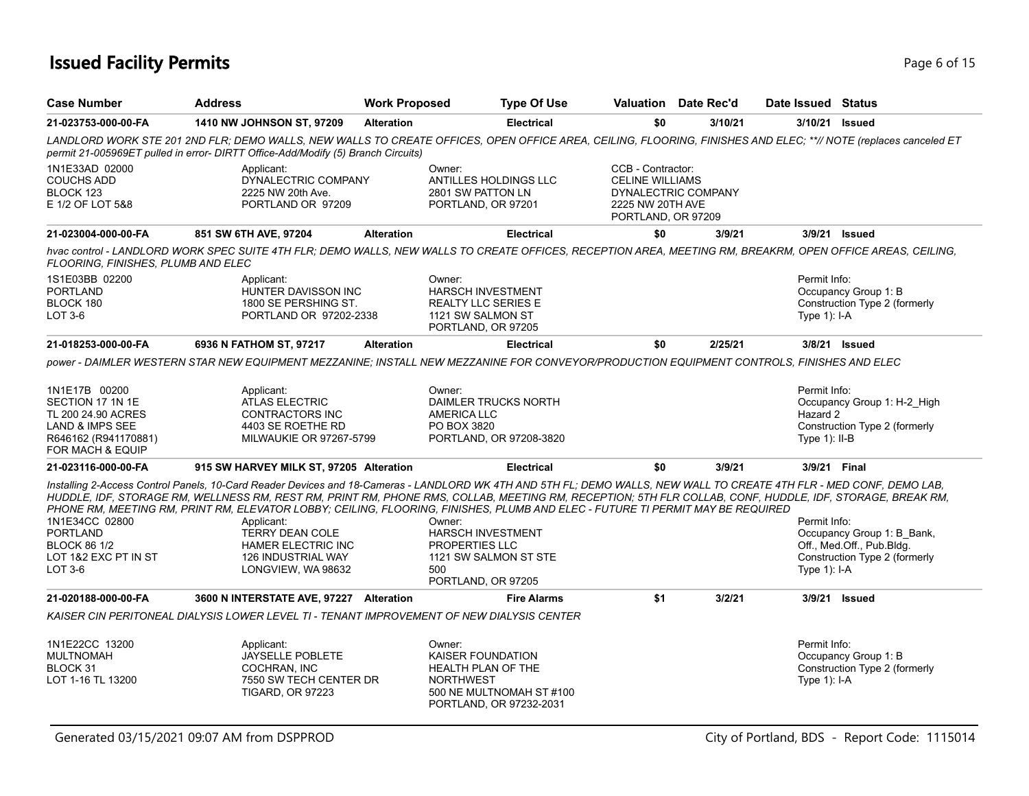# **Issued Facility Permits** Page 6 of 15

| <b>Case Number</b>                               | <b>Address</b>                                                                                                                                                                                                                                                                                                                                                                                                                                                                   | <b>Work Proposed</b> |                                         | <b>Type Of Use</b>                                  | Valuation Date Rec'd                                               |         |                 | Date Issued Status            |
|--------------------------------------------------|----------------------------------------------------------------------------------------------------------------------------------------------------------------------------------------------------------------------------------------------------------------------------------------------------------------------------------------------------------------------------------------------------------------------------------------------------------------------------------|----------------------|-----------------------------------------|-----------------------------------------------------|--------------------------------------------------------------------|---------|-----------------|-------------------------------|
| 21-023753-000-00-FA                              | <b>1410 NW JOHNSON ST, 97209</b>                                                                                                                                                                                                                                                                                                                                                                                                                                                 | <b>Alteration</b>    |                                         | <b>Electrical</b>                                   | \$0                                                                | 3/10/21 | 3/10/21 Issued  |                               |
|                                                  | LANDLORD WORK STE 201 2ND FLR; DEMO WALLS, NEW WALLS TO CREATE OFFICES, OPEN OFFICE AREA, CEILING, FLOORING, FINISHES AND ELEC; **// NOTE (replaces canceled ET<br>permit 21-005969ET pulled in error- DIRTT Office-Add/Modify (5) Branch Circuits)                                                                                                                                                                                                                              |                      |                                         |                                                     |                                                                    |         |                 |                               |
| 1N1E33AD 02000<br><b>COUCHS ADD</b><br>BLOCK 123 | Applicant:<br>DYNALECTRIC COMPANY<br>2225 NW 20th Ave.                                                                                                                                                                                                                                                                                                                                                                                                                           |                      | Owner:<br>2801 SW PATTON LN             | ANTILLES HOLDINGS LLC                               | CCB - Contractor:<br><b>CELINE WILLIAMS</b><br>DYNALECTRIC COMPANY |         |                 |                               |
| E 1/2 OF LOT 5&8                                 | PORTLAND OR 97209                                                                                                                                                                                                                                                                                                                                                                                                                                                                |                      | PORTLAND, OR 97201                      |                                                     | 2225 NW 20TH AVE<br>PORTLAND, OR 97209                             |         |                 |                               |
| 21-023004-000-00-FA                              | 851 SW 6TH AVE, 97204                                                                                                                                                                                                                                                                                                                                                                                                                                                            | <b>Alteration</b>    |                                         | <b>Electrical</b>                                   | \$0                                                                | 3/9/21  |                 | 3/9/21 Issued                 |
| FLOORING, FINISHES, PLUMB AND ELEC               | hvac control - LANDLORD WORK SPEC SUITE 4TH FLR; DEMO WALLS, NEW WALLS TO CREATE OFFICES, RECEPTION AREA, MEETING RM, BREAKRM, OPEN OFFICE AREAS, CEILING,                                                                                                                                                                                                                                                                                                                       |                      |                                         |                                                     |                                                                    |         |                 |                               |
| 1S1E03BB 02200                                   | Applicant:                                                                                                                                                                                                                                                                                                                                                                                                                                                                       |                      | Owner:                                  |                                                     |                                                                    |         | Permit Info:    |                               |
| <b>PORTLAND</b>                                  | HUNTER DAVISSON INC                                                                                                                                                                                                                                                                                                                                                                                                                                                              |                      | HARSCH INVESTMENT                       |                                                     |                                                                    |         |                 | Occupancy Group 1: B          |
| BLOCK 180                                        | 1800 SE PERSHING ST.                                                                                                                                                                                                                                                                                                                                                                                                                                                             |                      | <b>REALTY LLC SERIES E</b>              |                                                     |                                                                    |         |                 | Construction Type 2 (formerly |
| LOT 3-6                                          | PORTLAND OR 97202-2338                                                                                                                                                                                                                                                                                                                                                                                                                                                           |                      | 1121 SW SALMON ST<br>PORTLAND, OR 97205 |                                                     |                                                                    |         | Type $1$ : I-A  |                               |
| 21-018253-000-00-FA                              | 6936 N FATHOM ST, 97217                                                                                                                                                                                                                                                                                                                                                                                                                                                          | <b>Alteration</b>    |                                         | <b>Electrical</b>                                   | \$0                                                                | 2/25/21 |                 | 3/8/21 Issued                 |
|                                                  | power - DAIMLER WESTERN STAR NEW EQUIPMENT MEZZANINE; INSTALL NEW MEZZANINE FOR CONVEYOR/PRODUCTION EQUIPMENT CONTROLS. FINISHES AND ELEC                                                                                                                                                                                                                                                                                                                                        |                      |                                         |                                                     |                                                                    |         |                 |                               |
| 1N1E17B 00200                                    | Applicant:                                                                                                                                                                                                                                                                                                                                                                                                                                                                       |                      | Owner:                                  |                                                     |                                                                    |         | Permit Info:    |                               |
| SECTION 17 1N 1E                                 | <b>ATLAS ELECTRIC</b>                                                                                                                                                                                                                                                                                                                                                                                                                                                            |                      |                                         | DAIMLER TRUCKS NORTH                                |                                                                    |         |                 | Occupancy Group 1: H-2_High   |
| TL 200 24.90 ACRES                               | <b>CONTRACTORS INC</b>                                                                                                                                                                                                                                                                                                                                                                                                                                                           |                      | <b>AMERICA LLC</b>                      |                                                     |                                                                    |         | Hazard 2        |                               |
| <b>LAND &amp; IMPS SEE</b>                       | 4403 SE ROETHE RD                                                                                                                                                                                                                                                                                                                                                                                                                                                                |                      | PO BOX 3820                             |                                                     |                                                                    |         |                 | Construction Type 2 (formerly |
| R646162 (R941170881)<br>FOR MACH & EQUIP         | MILWAUKIE OR 97267-5799                                                                                                                                                                                                                                                                                                                                                                                                                                                          |                      |                                         | PORTLAND, OR 97208-3820                             |                                                                    |         | Type $1$ : II-B |                               |
| 21-023116-000-00-FA                              | 915 SW HARVEY MILK ST, 97205 Alteration                                                                                                                                                                                                                                                                                                                                                                                                                                          |                      |                                         | <b>Electrical</b>                                   | \$0                                                                | 3/9/21  | 3/9/21 Final    |                               |
| 1N1E34CC 02800                                   | Installing 2-Access Control Panels, 10-Card Reader Devices and 18-Cameras - LANDLORD WK 4TH AND 5TH FL; DEMO WALLS, NEW WALL TO CREATE 4TH FLR - MED CONF, DEMO LAB,<br>HUDDLE, IDF, STORAGE RM, WELLNESS RM, REST RM, PRINT RM, PHONE RMS, COLLAB, MEETING RM, RECEPTION; 5TH FLR COLLAB, CONF, HUDDLE, IDF, STORAGE, BREAK RM,<br>PHONE RM, MEETING RM, PRINT RM, ELEVATOR LOBBY; CEILING, FLOORING, FINISHES, PLUMB AND ELEC - FUTURE TI PERMIT MAY BE REQUIRED<br>Applicant: |                      | Owner:                                  |                                                     |                                                                    |         | Permit Info:    |                               |
| <b>PORTLAND</b>                                  | <b>TERRY DEAN COLE</b>                                                                                                                                                                                                                                                                                                                                                                                                                                                           |                      | <b>HARSCH INVESTMENT</b>                |                                                     |                                                                    |         |                 | Occupancy Group 1: B Bank,    |
| <b>BLOCK 86 1/2</b>                              | <b>HAMER ELECTRIC INC</b>                                                                                                                                                                                                                                                                                                                                                                                                                                                        |                      | PROPERTIES LLC                          |                                                     |                                                                    |         |                 | Off., Med.Off., Pub.Bldg.     |
| LOT 1&2 EXC PT IN ST                             | 126 INDUSTRIAL WAY                                                                                                                                                                                                                                                                                                                                                                                                                                                               |                      |                                         | 1121 SW SALMON ST STE                               |                                                                    |         |                 | Construction Type 2 (formerly |
| LOT 3-6                                          | LONGVIEW, WA 98632                                                                                                                                                                                                                                                                                                                                                                                                                                                               |                      | 500                                     |                                                     |                                                                    |         | Type $1$ : I-A  |                               |
|                                                  |                                                                                                                                                                                                                                                                                                                                                                                                                                                                                  |                      | PORTLAND, OR 97205                      |                                                     |                                                                    |         |                 |                               |
| 21-020188-000-00-FA                              | 3600 N INTERSTATE AVE, 97227 Alteration                                                                                                                                                                                                                                                                                                                                                                                                                                          |                      |                                         | <b>Fire Alarms</b>                                  | \$1                                                                | 3/2/21  |                 | 3/9/21 Issued                 |
|                                                  | KAISER CIN PERITONEAL DIALYSIS LOWER LEVEL TI - TENANT IMPROVEMENT OF NEW DIALYSIS CENTER                                                                                                                                                                                                                                                                                                                                                                                        |                      |                                         |                                                     |                                                                    |         |                 |                               |
| 1N1E22CC 13200                                   | Applicant:                                                                                                                                                                                                                                                                                                                                                                                                                                                                       |                      | Owner:                                  |                                                     |                                                                    |         | Permit Info:    |                               |
| MULTNOMAH                                        | <b>JAYSELLE POBLETE</b>                                                                                                                                                                                                                                                                                                                                                                                                                                                          |                      | KAISER FOUNDATION                       |                                                     |                                                                    |         |                 | Occupancy Group 1: B          |
| BLOCK 31                                         | COCHRAN, INC                                                                                                                                                                                                                                                                                                                                                                                                                                                                     |                      | <b>HEALTH PLAN OF THE</b>               |                                                     |                                                                    |         |                 | Construction Type 2 (formerly |
| LOT 1-16 TL 13200                                | 7550 SW TECH CENTER DR                                                                                                                                                                                                                                                                                                                                                                                                                                                           |                      | <b>NORTHWEST</b>                        |                                                     |                                                                    |         | Type $1$ : I-A  |                               |
|                                                  | <b>TIGARD, OR 97223</b>                                                                                                                                                                                                                                                                                                                                                                                                                                                          |                      |                                         | 500 NE MULTNOMAH ST #100<br>PORTLAND, OR 97232-2031 |                                                                    |         |                 |                               |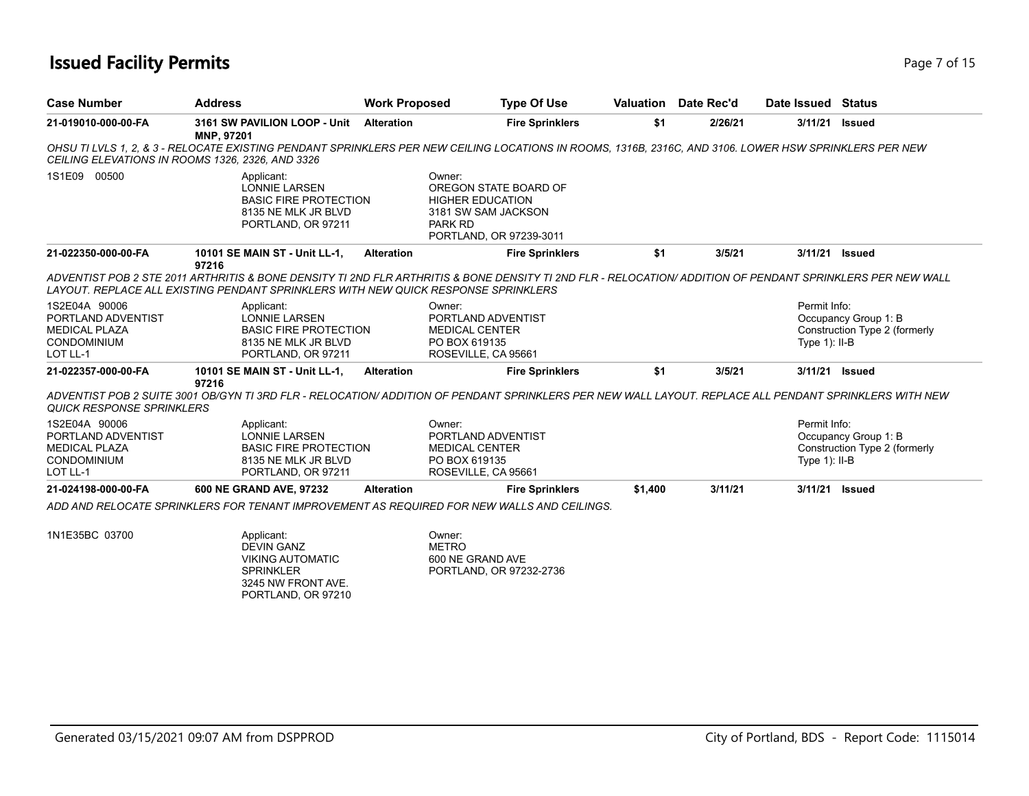### **Issued Facility Permits** Page 7 of 15

| <b>Case Number</b>                                                                            | <b>Address</b>                                                                                                                                                                                                                                   | <b>Work Proposed</b> | <b>Type Of Use</b>                                                                                                      |         | <b>Valuation</b> Date Rec'd | Date Issued Status               |                                                       |
|-----------------------------------------------------------------------------------------------|--------------------------------------------------------------------------------------------------------------------------------------------------------------------------------------------------------------------------------------------------|----------------------|-------------------------------------------------------------------------------------------------------------------------|---------|-----------------------------|----------------------------------|-------------------------------------------------------|
| 21-019010-000-00-FA                                                                           | 3161 SW PAVILION LOOP - Unit<br>MNP, 97201                                                                                                                                                                                                       | <b>Alteration</b>    | <b>Fire Sprinklers</b>                                                                                                  | \$1     | 2/26/21                     | 3/11/21                          | <b>Issued</b>                                         |
|                                                                                               | OHSU TI LVLS 1, 2, & 3 - RELOCATE EXISTING PENDANT SPRINKLERS PER NEW CEILING LOCATIONS IN ROOMS, 1316B, 2316C, AND 3106. LOWER HSW SPRINKLERS PER NEW<br>CEILING ELEVATIONS IN ROOMS 1326, 2326, AND 3326                                       |                      |                                                                                                                         |         |                             |                                  |                                                       |
| 1S1E09 00500                                                                                  | Applicant:<br><b>LONNIE LARSEN</b><br><b>BASIC FIRE PROTECTION</b><br>8135 NE MLK JR BLVD<br>PORTLAND, OR 97211                                                                                                                                  |                      | Owner:<br>OREGON STATE BOARD OF<br><b>HIGHER EDUCATION</b><br>3181 SW SAM JACKSON<br>PARK RD<br>PORTLAND, OR 97239-3011 |         |                             |                                  |                                                       |
| 21-022350-000-00-FA                                                                           | 10101 SE MAIN ST - Unit LL-1,<br>97216                                                                                                                                                                                                           | <b>Alteration</b>    | <b>Fire Sprinklers</b>                                                                                                  | \$1     | 3/5/21                      | 3/11/21 Issued                   |                                                       |
|                                                                                               | ADVENTIST POB 2 STE 2011 ARTHRITIS & BONE DENSITY TI 2ND FLR ARTHRITIS & BONE DENSITY TI 2ND FLR - RELOCATION/ ADDITION OF PENDANT SPRINKLERS PER NEW WALL<br>LAYOUT. REPLACE ALL EXISTING PENDANT SPRINKLERS WITH NEW QUICK RESPONSE SPRINKLERS |                      |                                                                                                                         |         |                             |                                  |                                                       |
| 1S2E04A 90006<br>PORTLAND ADVENTIST<br><b>MEDICAL PLAZA</b><br><b>CONDOMINIUM</b><br>LOT LL-1 | Applicant:<br><b>LONNIE LARSEN</b><br><b>BASIC FIRE PROTECTION</b><br>8135 NE MLK JR BLVD<br>PORTLAND, OR 97211                                                                                                                                  |                      | Owner:<br>PORTLAND ADVENTIST<br><b>MEDICAL CENTER</b><br>PO BOX 619135<br>ROSEVILLE, CA 95661                           |         |                             | Permit Info:<br>Type $1$ ): II-B | Occupancy Group 1: B<br>Construction Type 2 (formerly |
| 21-022357-000-00-FA                                                                           | 10101 SE MAIN ST - Unit LL-1,<br>97216                                                                                                                                                                                                           | <b>Alteration</b>    | <b>Fire Sprinklers</b>                                                                                                  | \$1     | 3/5/21                      | 3/11/21 Issued                   |                                                       |
| <b>QUICK RESPONSE SPRINKLERS</b>                                                              | ADVENTIST POB 2 SUITE 3001 OB/GYN TI 3RD FLR - RELOCATION/ ADDITION OF PENDANT SPRINKLERS PER NEW WALL LAYOUT. REPLACE ALL PENDANT SPRINKLERS WITH NEW                                                                                           |                      |                                                                                                                         |         |                             |                                  |                                                       |
| 1S2E04A 90006<br>PORTLAND ADVENTIST<br><b>MEDICAL PLAZA</b><br><b>CONDOMINIUM</b><br>LOT LL-1 | Applicant:<br><b>LONNIE LARSEN</b><br><b>BASIC FIRE PROTECTION</b><br>8135 NE MLK JR BLVD<br>PORTLAND, OR 97211                                                                                                                                  |                      | Owner:<br>PORTLAND ADVENTIST<br><b>MEDICAL CENTER</b><br>PO BOX 619135<br>ROSEVILLE, CA 95661                           |         |                             | Permit Info:<br>Type $1$ : II-B  | Occupancy Group 1: B<br>Construction Type 2 (formerly |
| 21-024198-000-00-FA                                                                           | 600 NE GRAND AVE, 97232                                                                                                                                                                                                                          | <b>Alteration</b>    | <b>Fire Sprinklers</b>                                                                                                  | \$1,400 | 3/11/21                     | 3/11/21 Issued                   |                                                       |
|                                                                                               | ADD AND RELOCATE SPRINKLERS FOR TENANT IMPROVEMENT AS REQUIRED FOR NEW WALLS AND CEILINGS.                                                                                                                                                       |                      |                                                                                                                         |         |                             |                                  |                                                       |
| 1N1E35BC 03700                                                                                | Applicant:<br><b>DEVIN GANZ</b><br><b>VIKING AUTOMATIC</b><br><b>SPRINKLER</b><br>3245 NW FRONT AVE.<br>PORTLAND, OR 97210                                                                                                                       |                      | Owner:<br><b>METRO</b><br>600 NE GRAND AVE<br>PORTLAND, OR 97232-2736                                                   |         |                             |                                  |                                                       |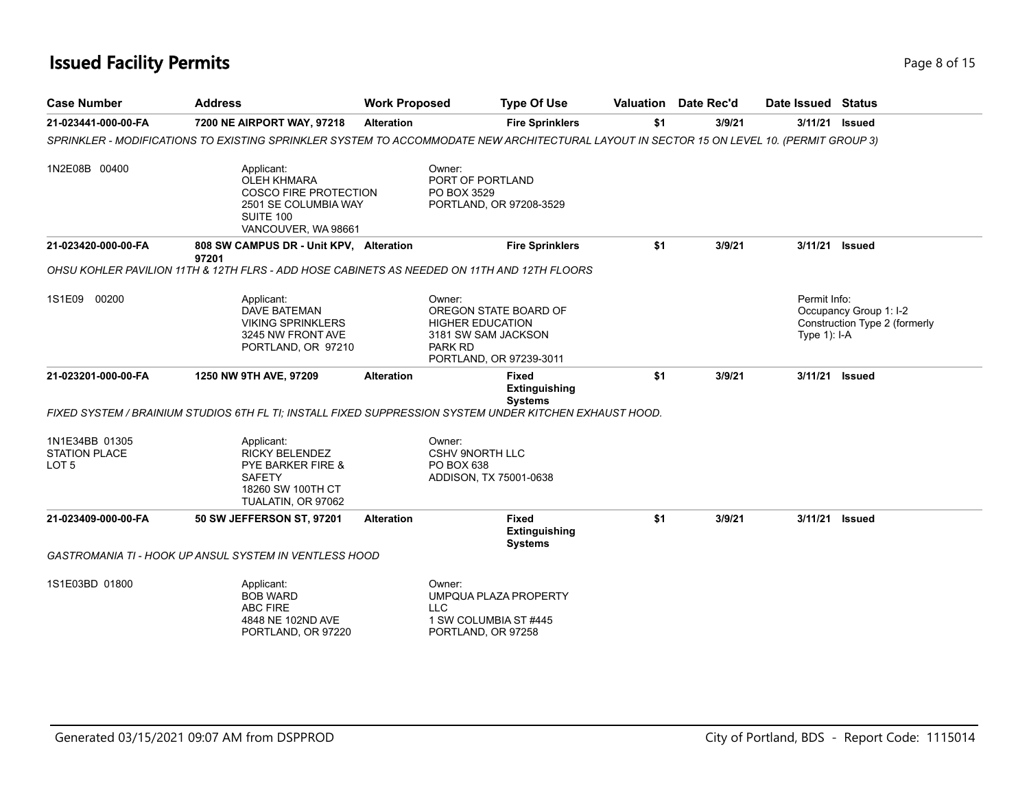### **Issued Facility Permits** Page 8 of 15

| <b>Case Number</b>                                         | <b>Address</b>                                                                                                                            | <b>Work Proposed</b> | <b>Type Of Use</b>                                                                                                      |     | Valuation Date Rec'd | Date Issued                    | <b>Status</b>                                           |
|------------------------------------------------------------|-------------------------------------------------------------------------------------------------------------------------------------------|----------------------|-------------------------------------------------------------------------------------------------------------------------|-----|----------------------|--------------------------------|---------------------------------------------------------|
| 21-023441-000-00-FA                                        | 7200 NE AIRPORT WAY, 97218                                                                                                                | <b>Alteration</b>    | <b>Fire Sprinklers</b>                                                                                                  | \$1 | 3/9/21               | 3/11/21                        | <b>Issued</b>                                           |
|                                                            | SPRINKLER - MODIFICATIONS TO EXISTING SPRINKLER SYSTEM TO ACCOMMODATE NEW ARCHITECTURAL LAYOUT IN SECTOR 15 ON LEVEL 10. (PERMIT GROUP 3) |                      |                                                                                                                         |     |                      |                                |                                                         |
| 1N2E08B 00400                                              | Applicant:<br><b>OLEH KHMARA</b><br><b>COSCO FIRE PROTECTION</b><br>2501 SE COLUMBIA WAY<br>SUITE 100<br>VANCOUVER, WA 98661              |                      | Owner:<br>PORT OF PORTLAND<br>PO BOX 3529<br>PORTLAND, OR 97208-3529                                                    |     |                      |                                |                                                         |
| 21-023420-000-00-FA                                        | 808 SW CAMPUS DR - Unit KPV, Alteration<br>97201                                                                                          |                      | <b>Fire Sprinklers</b>                                                                                                  | \$1 | 3/9/21               | 3/11/21                        | <b>Issued</b>                                           |
|                                                            | OHSU KOHLER PAVILION 11TH & 12TH FLRS - ADD HOSE CABINETS AS NEEDED ON 11TH AND 12TH FLOORS                                               |                      |                                                                                                                         |     |                      |                                |                                                         |
| 1S1E09 00200                                               | Applicant:<br><b>DAVE BATEMAN</b><br><b>VIKING SPRINKLERS</b><br>3245 NW FRONT AVE<br>PORTLAND, OR 97210                                  |                      | Owner:<br>OREGON STATE BOARD OF<br><b>HIGHER EDUCATION</b><br>3181 SW SAM JACKSON<br>PARK RD<br>PORTLAND, OR 97239-3011 |     |                      | Permit Info:<br>Type $1$ : I-A | Occupancy Group 1: I-2<br>Construction Type 2 (formerly |
| 21-023201-000-00-FA                                        | 1250 NW 9TH AVE, 97209                                                                                                                    | <b>Alteration</b>    | <b>Fixed</b><br>Extinguishing<br><b>Systems</b>                                                                         | \$1 | 3/9/21               | 3/11/21                        | <b>Issued</b>                                           |
|                                                            | FIXED SYSTEM / BRAINIUM STUDIOS 6TH FL TI: INSTALL FIXED SUPPRESSION SYSTEM UNDER KITCHEN EXHAUST HOOD.                                   |                      |                                                                                                                         |     |                      |                                |                                                         |
| 1N1E34BB 01305<br><b>STATION PLACE</b><br>LOT <sub>5</sub> | Applicant:<br><b>RICKY BELENDEZ</b><br>PYE BARKER FIRE &<br><b>SAFETY</b><br>18260 SW 100TH CT<br>TUALATIN, OR 97062                      |                      | Owner:<br><b>CSHV 9NORTH LLC</b><br>PO BOX 638<br>ADDISON, TX 75001-0638                                                |     |                      |                                |                                                         |
| 21-023409-000-00-FA                                        | 50 SW JEFFERSON ST, 97201                                                                                                                 | <b>Alteration</b>    | <b>Fixed</b><br><b>Extinguishing</b><br><b>Systems</b>                                                                  | \$1 | 3/9/21               | 3/11/21                        | <b>Issued</b>                                           |
|                                                            | GASTROMANIA TI - HOOK UP ANSUL SYSTEM IN VENTLESS HOOD                                                                                    |                      |                                                                                                                         |     |                      |                                |                                                         |
| 1S1E03BD 01800                                             | Applicant:<br><b>BOB WARD</b><br>ABC FIRE<br>4848 NE 102ND AVE<br>PORTLAND, OR 97220                                                      |                      | Owner:<br>UMPQUA PLAZA PROPERTY<br><b>LLC</b><br>1 SW COLUMBIA ST #445<br>PORTLAND, OR 97258                            |     |                      |                                |                                                         |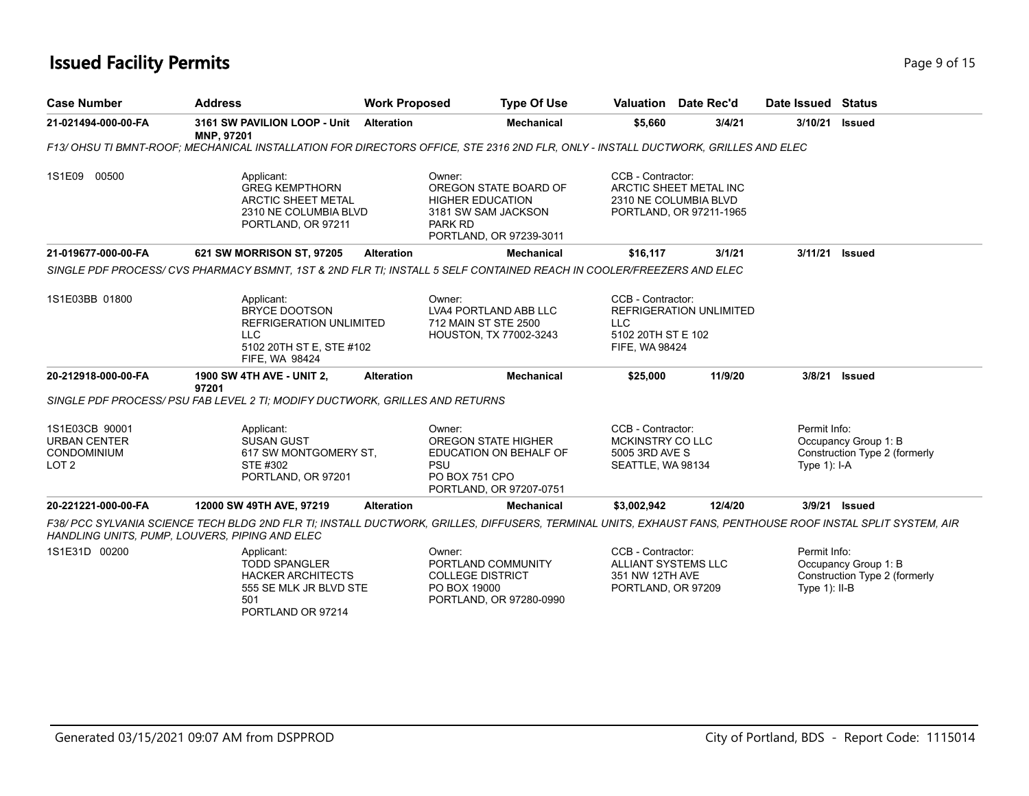### **Issued Facility Permits** Page 15 and 2008 2015

| <b>Case Number</b>                                                              | <b>Address</b>                                                                                                                                                                                                | <b>Work Proposed</b> | <b>Type Of Use</b>                                                                                                             | Valuation                                                                                | Date Rec'd                                                                 | Date Issued Status              |                                                       |
|---------------------------------------------------------------------------------|---------------------------------------------------------------------------------------------------------------------------------------------------------------------------------------------------------------|----------------------|--------------------------------------------------------------------------------------------------------------------------------|------------------------------------------------------------------------------------------|----------------------------------------------------------------------------|---------------------------------|-------------------------------------------------------|
| 21-021494-000-00-FA                                                             | 3161 SW PAVILION LOOP - Unit Alteration<br>MNP, 97201                                                                                                                                                         |                      | <b>Mechanical</b>                                                                                                              | \$5,660                                                                                  | 3/4/21                                                                     | 3/10/21                         | <b>Issued</b>                                         |
|                                                                                 | F13/ OHSU TI BMNT-ROOF; MECHANICAL INSTALLATION FOR DIRECTORS OFFICE, STE 2316 2ND FLR, ONLY - INSTALL DUCTWORK, GRILLES AND ELEC                                                                             |                      |                                                                                                                                |                                                                                          |                                                                            |                                 |                                                       |
| 1S1E09 00500                                                                    | Applicant:<br><b>GREG KEMPTHORN</b><br><b>ARCTIC SHEET METAL</b><br>2310 NE COLUMBIA BLVD<br>PORTLAND, OR 97211                                                                                               |                      | Owner:<br>OREGON STATE BOARD OF<br><b>HIGHER EDUCATION</b><br>3181 SW SAM JACKSON<br><b>PARK RD</b><br>PORTLAND, OR 97239-3011 | CCB - Contractor:                                                                        | ARCTIC SHEET METAL INC<br>2310 NE COLUMBIA BLVD<br>PORTLAND, OR 97211-1965 |                                 |                                                       |
| 21-019677-000-00-FA                                                             | 621 SW MORRISON ST, 97205                                                                                                                                                                                     | <b>Alteration</b>    | Mechanical                                                                                                                     | \$16,117                                                                                 | 3/1/21                                                                     | 3/11/21                         | <b>Issued</b>                                         |
|                                                                                 | SINGLE PDF PROCESS/ CVS PHARMACY BSMNT, 1ST & 2ND FLR TI; INSTALL 5 SELF CONTAINED REACH IN COOLER/FREEZERS AND ELEC                                                                                          |                      |                                                                                                                                |                                                                                          |                                                                            |                                 |                                                       |
| 1S1E03BB 01800                                                                  | Applicant:<br><b>BRYCE DOOTSON</b><br>REFRIGERATION UNLIMITED<br><b>LLC</b><br>5102 20TH ST E, STE #102<br><b>FIFE, WA 98424</b>                                                                              |                      | Owner:<br>LVA4 PORTLAND ABB LLC<br>712 MAIN ST STE 2500<br>HOUSTON, TX 77002-3243                                              | CCB - Contractor:<br><b>LLC</b><br>5102 20TH ST E 102<br>FIFE, WA 98424                  | REFRIGERATION UNLIMITED                                                    |                                 |                                                       |
| 20-212918-000-00-FA                                                             | <b>1900 SW 4TH AVE - UNIT 2,</b><br>97201                                                                                                                                                                     | <b>Alteration</b>    | <b>Mechanical</b>                                                                                                              | \$25,000                                                                                 | 11/9/20                                                                    |                                 | 3/8/21 Issued                                         |
|                                                                                 | SINGLE PDF PROCESS/ PSU FAB LEVEL 2 TI: MODIFY DUCTWORK, GRILLES AND RETURNS                                                                                                                                  |                      |                                                                                                                                |                                                                                          |                                                                            |                                 |                                                       |
| 1S1E03CB 90001<br><b>URBAN CENTER</b><br><b>CONDOMINIUM</b><br>LOT <sub>2</sub> | Applicant:<br><b>SUSAN GUST</b><br>617 SW MONTGOMERY ST.<br>STE #302<br>PORTLAND, OR 97201                                                                                                                    | PSU                  | Owner:<br><b>OREGON STATE HIGHER</b><br>EDUCATION ON BEHALF OF<br>PO BOX 751 CPO<br>PORTLAND, OR 97207-0751                    | CCB - Contractor:<br><b>MCKINSTRY CO LLC</b><br>5005 3RD AVE S<br>SEATTLE, WA 98134      |                                                                            | Permit Info:<br>Type $1$ : I-A  | Occupancy Group 1: B<br>Construction Type 2 (formerly |
| 20-221221-000-00-FA                                                             | 12000 SW 49TH AVE, 97219                                                                                                                                                                                      | <b>Alteration</b>    | <b>Mechanical</b>                                                                                                              | \$3,002,942                                                                              | 12/4/20                                                                    |                                 | 3/9/21 Issued                                         |
|                                                                                 | F38/ PCC SYLVANIA SCIENCE TECH BLDG 2ND FLR TI; INSTALL DUCTWORK, GRILLES, DIFFUSERS, TERMINAL UNITS, EXHAUST FANS, PENTHOUSE ROOF INSTAL SPLIT SYSTEM, AIR<br>HANDLING UNITS, PUMP, LOUVERS, PIPING AND ELEC |                      |                                                                                                                                |                                                                                          |                                                                            |                                 |                                                       |
| 1S1E31D 00200                                                                   | Applicant:<br><b>TODD SPANGLER</b><br><b>HACKER ARCHITECTS</b><br>555 SE MLK JR BLVD STE<br>501                                                                                                               |                      | Owner:<br>PORTLAND COMMUNITY<br><b>COLLEGE DISTRICT</b><br>PO BOX 19000<br>PORTLAND, OR 97280-0990                             | CCB - Contractor:<br><b>ALLIANT SYSTEMS LLC</b><br>351 NW 12TH AVE<br>PORTLAND, OR 97209 |                                                                            | Permit Info:<br>Type $1$ : II-B | Occupancy Group 1: B<br>Construction Type 2 (formerly |

PORTLAND OR 97214

Generated 03/15/2021 09:07 AM from DSPPROD City of Portland, BDS - Report Code: 1115014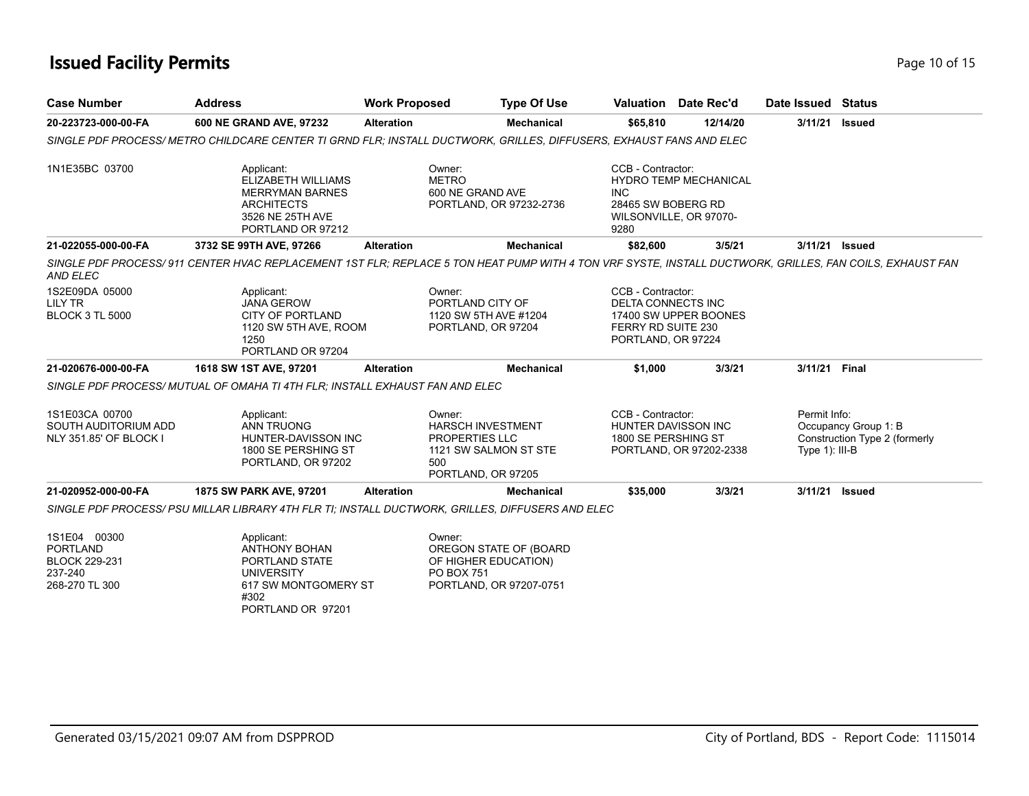### **Issued Facility Permits** Provide the Contract of the Page 10 of 15

| <b>Case Number</b>                                                                   | <b>Address</b>                                                                                                                                          | <b>Work Proposed</b> | <b>Type Of Use</b>                                                                                         |                                                                                            | <b>Valuation</b> Date Rec'd                            | Date Issued Status                |                                                       |
|--------------------------------------------------------------------------------------|---------------------------------------------------------------------------------------------------------------------------------------------------------|----------------------|------------------------------------------------------------------------------------------------------------|--------------------------------------------------------------------------------------------|--------------------------------------------------------|-----------------------------------|-------------------------------------------------------|
| 20-223723-000-00-FA                                                                  | 600 NE GRAND AVE, 97232                                                                                                                                 | <b>Alteration</b>    | <b>Mechanical</b>                                                                                          | \$65,810                                                                                   | 12/14/20                                               | 3/11/21                           | <b>Issued</b>                                         |
|                                                                                      | SINGLE PDF PROCESS/METRO CHILDCARE CENTER TI GRND FLR: INSTALL DUCTWORK, GRILLES, DIFFUSERS, EXHAUST FANS AND ELEC                                      |                      |                                                                                                            |                                                                                            |                                                        |                                   |                                                       |
| 1N1E35BC 03700                                                                       | Applicant:<br>ELIZABETH WILLIAMS<br><b>MERRYMAN BARNES</b><br><b>ARCHITECTS</b><br>3526 NE 25TH AVE<br>PORTLAND OR 97212                                |                      | Owner:<br><b>METRO</b><br>600 NE GRAND AVE<br>PORTLAND, OR 97232-2736                                      | CCB - Contractor:<br><b>INC</b><br>28465 SW BOBERG RD<br>9280                              | <b>HYDRO TEMP MECHANICAL</b><br>WILSONVILLE, OR 97070- |                                   |                                                       |
| 21-022055-000-00-FA                                                                  | 3732 SE 99TH AVE, 97266                                                                                                                                 | <b>Alteration</b>    | <b>Mechanical</b>                                                                                          | \$82,600                                                                                   | 3/5/21                                                 | 3/11/21 Issued                    |                                                       |
| <b>AND ELEC</b>                                                                      | SINGLE PDF PROCESS/911 CENTER HVAC REPLACEMENT 1ST FLR; REPLACE 5 TON HEAT PUMP WITH 4 TON VRF SYSTE, INSTALL DUCTWORK, GRILLES, FAN COILS, EXHAUST FAN |                      |                                                                                                            |                                                                                            |                                                        |                                   |                                                       |
| 1S2E09DA 05000<br><b>LILY TR</b><br><b>BLOCK 3 TL 5000</b>                           | Applicant:<br><b>JANA GEROW</b><br><b>CITY OF PORTLAND</b><br>1120 SW 5TH AVE, ROOM<br>1250<br>PORTLAND OR 97204                                        |                      | Owner:<br>PORTLAND CITY OF<br>1120 SW 5TH AVE #1204<br>PORTLAND, OR 97204                                  | CCB - Contractor:<br><b>DELTA CONNECTS INC</b><br>FERRY RD SUITE 230<br>PORTLAND, OR 97224 | 17400 SW UPPER BOONES                                  |                                   |                                                       |
| 21-020676-000-00-FA                                                                  | 1618 SW 1ST AVE, 97201                                                                                                                                  | <b>Alteration</b>    | <b>Mechanical</b>                                                                                          | \$1,000                                                                                    | 3/3/21                                                 | 3/11/21 Final                     |                                                       |
|                                                                                      | SINGLE PDF PROCESS/MUTUAL OF OMAHA TI 4TH FLR; INSTALL EXHAUST FAN AND ELEC                                                                             |                      |                                                                                                            |                                                                                            |                                                        |                                   |                                                       |
| 1S1E03CA 00700<br>SOUTH AUDITORIUM ADD<br>NLY 351.85' OF BLOCK I                     | Applicant:<br><b>ANN TRUONG</b><br>HUNTER-DAVISSON INC<br>1800 SE PERSHING ST<br>PORTLAND, OR 97202                                                     |                      | Owner:<br><b>HARSCH INVESTMENT</b><br>PROPERTIES LLC<br>1121 SW SALMON ST STE<br>500<br>PORTLAND, OR 97205 | CCB - Contractor:<br>HUNTER DAVISSON INC<br>1800 SE PERSHING ST                            | PORTLAND, OR 97202-2338                                | Permit Info:<br>Type $1$ ): III-B | Occupancy Group 1: B<br>Construction Type 2 (formerly |
| 21-020952-000-00-FA                                                                  | 1875 SW PARK AVE, 97201                                                                                                                                 | <b>Alteration</b>    | <b>Mechanical</b>                                                                                          | \$35,000                                                                                   | 3/3/21                                                 | 3/11/21 Issued                    |                                                       |
|                                                                                      | SINGLE PDF PROCESS/ PSU MILLAR LIBRARY 4TH FLR TI; INSTALL DUCTWORK, GRILLES, DIFFUSERS AND ELEC                                                        |                      |                                                                                                            |                                                                                            |                                                        |                                   |                                                       |
| 1S1E04 00300<br><b>PORTLAND</b><br><b>BLOCK 229-231</b><br>237-240<br>268-270 TL 300 | Applicant:<br><b>ANTHONY BOHAN</b><br>PORTLAND STATE<br><b>UNIVERSITY</b><br>617 SW MONTGOMERY ST<br>#302<br>PORTLAND OR 97201                          |                      | Owner:<br>OREGON STATE OF (BOARD<br>OF HIGHER EDUCATION)<br><b>PO BOX 751</b><br>PORTLAND, OR 97207-0751   |                                                                                            |                                                        |                                   |                                                       |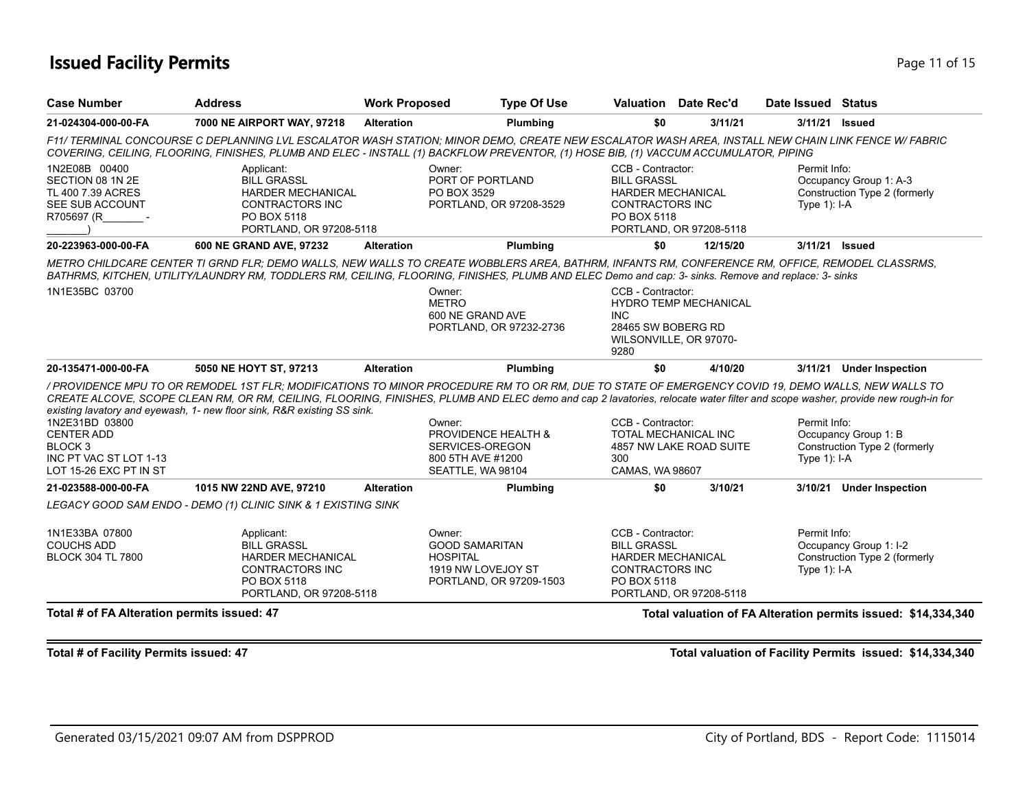### **Issued Facility Permits** Provide the Contract of 15 and 200 minutes and 200 minutes of 15 and 200 minutes and 200 minutes and 200 minutes and 200 minutes and 200 minutes and 200 minutes and 200 minutes and 200 minutes and

| <b>Case Number</b>                                                                                            | <b>Address</b>                                                                                                                   | <b>Work Proposed</b> | <b>Type Of Use</b>                                                                                                                                                                                                                                                                                                                                                                                                                |                                                                                                              | Valuation Date Rec'd                                   | Date Issued Status             |                                                         |
|---------------------------------------------------------------------------------------------------------------|----------------------------------------------------------------------------------------------------------------------------------|----------------------|-----------------------------------------------------------------------------------------------------------------------------------------------------------------------------------------------------------------------------------------------------------------------------------------------------------------------------------------------------------------------------------------------------------------------------------|--------------------------------------------------------------------------------------------------------------|--------------------------------------------------------|--------------------------------|---------------------------------------------------------|
| 21-024304-000-00-FA                                                                                           | 7000 NE AIRPORT WAY, 97218                                                                                                       | <b>Alteration</b>    | <b>Plumbing</b>                                                                                                                                                                                                                                                                                                                                                                                                                   | \$0                                                                                                          | 3/11/21                                                | 3/11/21                        | <b>Issued</b>                                           |
|                                                                                                               |                                                                                                                                  |                      | F11/ TERMINAL CONCOURSE C DEPLANNING LVL ESCALATOR WASH STATION: MINOR DEMO, CREATE NEW ESCALATOR WASH AREA, INSTALL NEW CHAIN LINK FENCE W/ FABRIC<br>COVERING, CEILING, FLOORING, FINISHES, PLUMB AND ELEC - INSTALL (1) BACKFLOW PREVENTOR, (1) HOSE BIB, (1) VACCUM ACCUMULATOR, PIPING                                                                                                                                       |                                                                                                              |                                                        |                                |                                                         |
| 1N2E08B 00400<br>SECTION 08 1N 2E<br>TL 400 7.39 ACRES<br>SEE SUB ACCOUNT<br>R705697 (R                       | Applicant:<br><b>BILL GRASSL</b><br><b>HARDER MECHANICAL</b><br><b>CONTRACTORS INC</b><br>PO BOX 5118<br>PORTLAND, OR 97208-5118 |                      | Owner:<br>PORT OF PORTLAND<br>PO BOX 3529<br>PORTLAND, OR 97208-3529                                                                                                                                                                                                                                                                                                                                                              | CCB - Contractor:<br><b>BILL GRASSL</b><br><b>HARDER MECHANICAL</b><br><b>CONTRACTORS INC</b><br>PO BOX 5118 | PORTLAND, OR 97208-5118                                | Permit Info:<br>Type $1$ : I-A | Occupancy Group 1: A-3<br>Construction Type 2 (formerly |
| 20-223963-000-00-FA                                                                                           | 600 NE GRAND AVE, 97232                                                                                                          | <b>Alteration</b>    | <b>Plumbing</b>                                                                                                                                                                                                                                                                                                                                                                                                                   | \$0                                                                                                          | 12/15/20                                               | 3/11/21 Issued                 |                                                         |
| 1N1E35BC 03700                                                                                                |                                                                                                                                  |                      | METRO CHILDCARE CENTER TI GRND FLR: DEMO WALLS, NEW WALLS TO CREATE WOBBLERS AREA, BATHRM, INFANTS RM, CONFERENCE RM, OFFICE, REMODEL CLASSRMS,<br>BATHRMS, KITCHEN, UTILITY/LAUNDRY RM, TODDLERS RM, CEILING, FLOORING, FINISHES, PLUMB AND ELEC Demo and cap: 3- sinks. Remove and replace: 3- sinks<br>Owner:<br><b>METRO</b><br>600 NE GRAND AVE<br>PORTLAND, OR 97232-2736                                                   | CCB - Contractor:<br><b>INC</b><br>28465 SW BOBERG RD<br>9280                                                | <b>HYDRO TEMP MECHANICAL</b><br>WILSONVILLE, OR 97070- |                                |                                                         |
|                                                                                                               |                                                                                                                                  |                      |                                                                                                                                                                                                                                                                                                                                                                                                                                   |                                                                                                              |                                                        |                                |                                                         |
| 20-135471-000-00-FA                                                                                           | 5050 NE HOYT ST, 97213                                                                                                           | <b>Alteration</b>    | Plumbing                                                                                                                                                                                                                                                                                                                                                                                                                          | \$0                                                                                                          | 4/10/20                                                |                                | 3/11/21 Under Inspection                                |
| 1N2E31BD 03800<br><b>CENTER ADD</b><br>BLOCK <sub>3</sub><br>INC PT VAC ST LOT 1-13<br>LOT 15-26 EXC PT IN ST | existing lavatory and eyewash, 1- new floor sink, R&R existing SS sink.                                                          |                      | / PROVIDENCE MPU TO OR REMODEL 1ST FLR; MODIFICATIONS TO MINOR PROCEDURE RM TO OR RM, DUE TO STATE OF EMERGENCY COVID 19, DEMO WALLS, NEW WALLS TO<br>CREATE ALCOVE, SCOPE CLEAN RM, OR RM, CEILING, FLOORING, FINISHES, PLUMB AND ELEC demo and cap 2 lavatories, relocate water filter and scope washer, provide new rough-in for<br>Owner:<br>PROVIDENCE HEALTH &<br>SERVICES-OREGON<br>800 5TH AVE #1200<br>SEATTLE, WA 98104 | CCB - Contractor:<br>TOTAL MECHANICAL INC<br>300<br>CAMAS, WA 98607                                          | 4857 NW LAKE ROAD SUITE                                | Permit Info:<br>Type $1$ : I-A | Occupancy Group 1: B<br>Construction Type 2 (formerly   |
| 21-023588-000-00-FA                                                                                           | 1015 NW 22ND AVE, 97210                                                                                                          | <b>Alteration</b>    | <b>Plumbing</b>                                                                                                                                                                                                                                                                                                                                                                                                                   | \$0                                                                                                          | 3/10/21                                                |                                | 3/10/21 Under Inspection                                |
|                                                                                                               | LEGACY GOOD SAM ENDO - DEMO (1) CLINIC SINK & 1 EXISTING SINK                                                                    |                      |                                                                                                                                                                                                                                                                                                                                                                                                                                   |                                                                                                              |                                                        |                                |                                                         |
| 1N1E33BA 07800<br><b>COUCHS ADD</b><br><b>BLOCK 304 TL 7800</b>                                               | Applicant:<br><b>BILL GRASSL</b><br><b>HARDER MECHANICAL</b><br><b>CONTRACTORS INC</b><br>PO BOX 5118<br>PORTLAND, OR 97208-5118 |                      | Owner:<br><b>GOOD SAMARITAN</b><br><b>HOSPITAL</b><br>1919 NW LOVEJOY ST<br>PORTLAND, OR 97209-1503                                                                                                                                                                                                                                                                                                                               | CCB - Contractor:<br><b>BILL GRASSL</b><br><b>HARDER MECHANICAL</b><br><b>CONTRACTORS INC</b><br>PO BOX 5118 | PORTLAND, OR 97208-5118                                | Permit Info:<br>Type $1$ : I-A | Occupancy Group 1: I-2<br>Construction Type 2 (formerly |

**Total # of Facility Permits issued: 47 Total valuation of Facility Permits issued: \$14,334,340**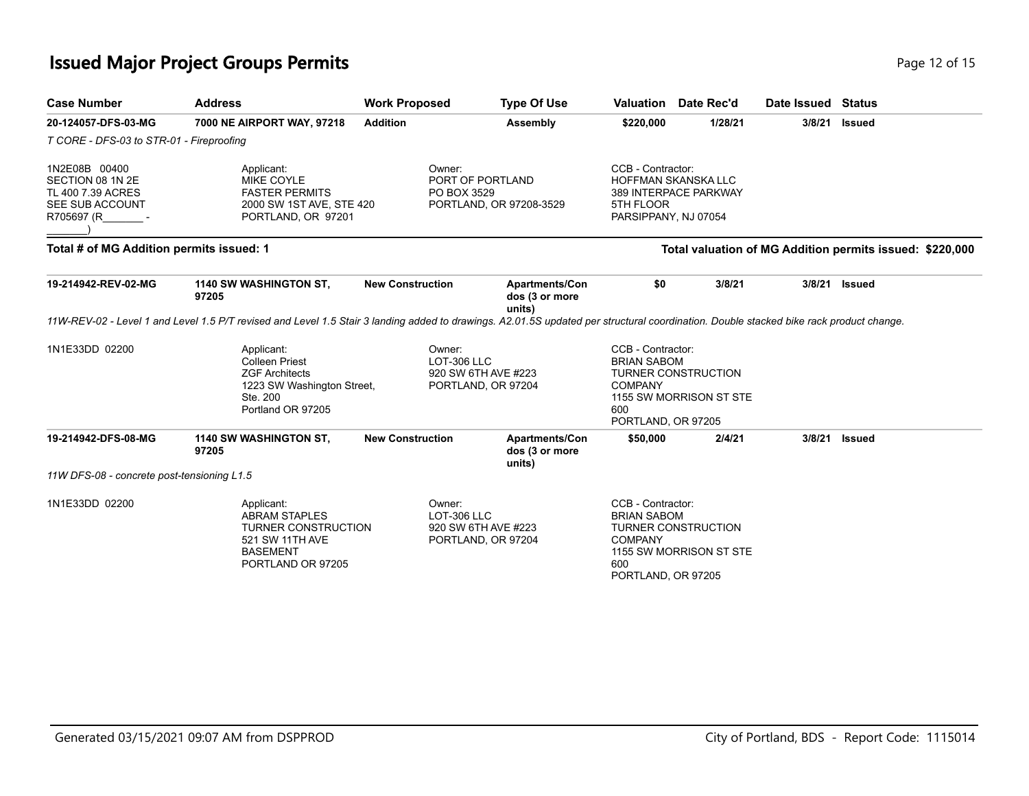## **Issued Major Project Groups Permits Page 12 of 15 and 2011 15 and 2012 15 and 2013**

| <b>Case Number</b>                                                                      | <b>Address</b>                                                                                                                                                                         | <b>Work Proposed</b>                                               | <b>Type Of Use</b>                                | Valuation                                                                              | Date Rec'd                                            | Date Issued Status |                                                          |
|-----------------------------------------------------------------------------------------|----------------------------------------------------------------------------------------------------------------------------------------------------------------------------------------|--------------------------------------------------------------------|---------------------------------------------------|----------------------------------------------------------------------------------------|-------------------------------------------------------|--------------------|----------------------------------------------------------|
| 20-124057-DFS-03-MG                                                                     | 7000 NE AIRPORT WAY, 97218                                                                                                                                                             | <b>Addition</b>                                                    | Assembly                                          | \$220,000                                                                              | 1/28/21                                               | 3/8/21             | <b>Issued</b>                                            |
| T CORE - DFS-03 to STR-01 - Fireproofing                                                |                                                                                                                                                                                        |                                                                    |                                                   |                                                                                        |                                                       |                    |                                                          |
| 1N2E08B 00400<br>SECTION 08 1N 2E<br>TL 400 7.39 ACRES<br>SEE SUB ACCOUNT<br>R705697 (R | Applicant:<br><b>MIKE COYLE</b><br><b>FASTER PERMITS</b><br>2000 SW 1ST AVE, STE 420<br>PORTLAND, OR 97201                                                                             | Owner:<br>PORT OF PORTLAND<br>PO BOX 3529                          | PORTLAND, OR 97208-3529                           | CCB - Contractor:<br>5TH FLOOR<br>PARSIPPANY, NJ 07054                                 | <b>HOFFMAN SKANSKA LLC</b><br>389 INTERPACE PARKWAY   |                    |                                                          |
| Total # of MG Addition permits issued: 1                                                |                                                                                                                                                                                        |                                                                    |                                                   |                                                                                        |                                                       |                    | Total valuation of MG Addition permits issued: \$220,000 |
| 19-214942-REV-02-MG                                                                     | 1140 SW WASHINGTON ST,<br>97205                                                                                                                                                        | <b>New Construction</b>                                            | Apartments/Con<br>dos (3 or more<br>units)        | \$0                                                                                    | 3/8/21                                                | 3/8/21             | <b>Issued</b>                                            |
|                                                                                         | 11W-REV-02 - Level 1 and Level 1.5 P/T revised and Level 1.5 Stair 3 landing added to drawings. A2.01.5S updated per structural coordination. Double stacked bike rack product change. |                                                                    |                                                   |                                                                                        |                                                       |                    |                                                          |
| 1N1E33DD 02200                                                                          | Applicant:<br><b>Colleen Priest</b><br><b>ZGF Architects</b><br>1223 SW Washington Street,<br>Ste. 200<br>Portland OR 97205                                                            | Owner:<br>LOT-306 LLC<br>920 SW 6TH AVE #223<br>PORTLAND, OR 97204 |                                                   | CCB - Contractor:<br><b>BRIAN SABOM</b><br><b>COMPANY</b><br>600<br>PORTLAND, OR 97205 | <b>TURNER CONSTRUCTION</b><br>1155 SW MORRISON ST STE |                    |                                                          |
| 19-214942-DFS-08-MG                                                                     | 1140 SW WASHINGTON ST,<br>97205                                                                                                                                                        | <b>New Construction</b>                                            | <b>Apartments/Con</b><br>dos (3 or more<br>units) | \$50,000                                                                               | 2/4/21                                                | 3/8/21             | <b>Issued</b>                                            |
| 11W DFS-08 - concrete post-tensioning L1.5                                              |                                                                                                                                                                                        |                                                                    |                                                   |                                                                                        |                                                       |                    |                                                          |
| 1N1E33DD 02200                                                                          | Applicant:<br><b>ABRAM STAPLES</b><br><b>TURNER CONSTRUCTION</b><br>521 SW 11TH AVE<br><b>BASEMENT</b><br>PORTLAND OR 97205                                                            | Owner:<br>LOT-306 LLC<br>920 SW 6TH AVE #223<br>PORTLAND, OR 97204 |                                                   | CCB - Contractor:<br><b>BRIAN SABOM</b><br><b>COMPANY</b><br>600<br>PORTLAND, OR 97205 | <b>TURNER CONSTRUCTION</b><br>1155 SW MORRISON ST STE |                    |                                                          |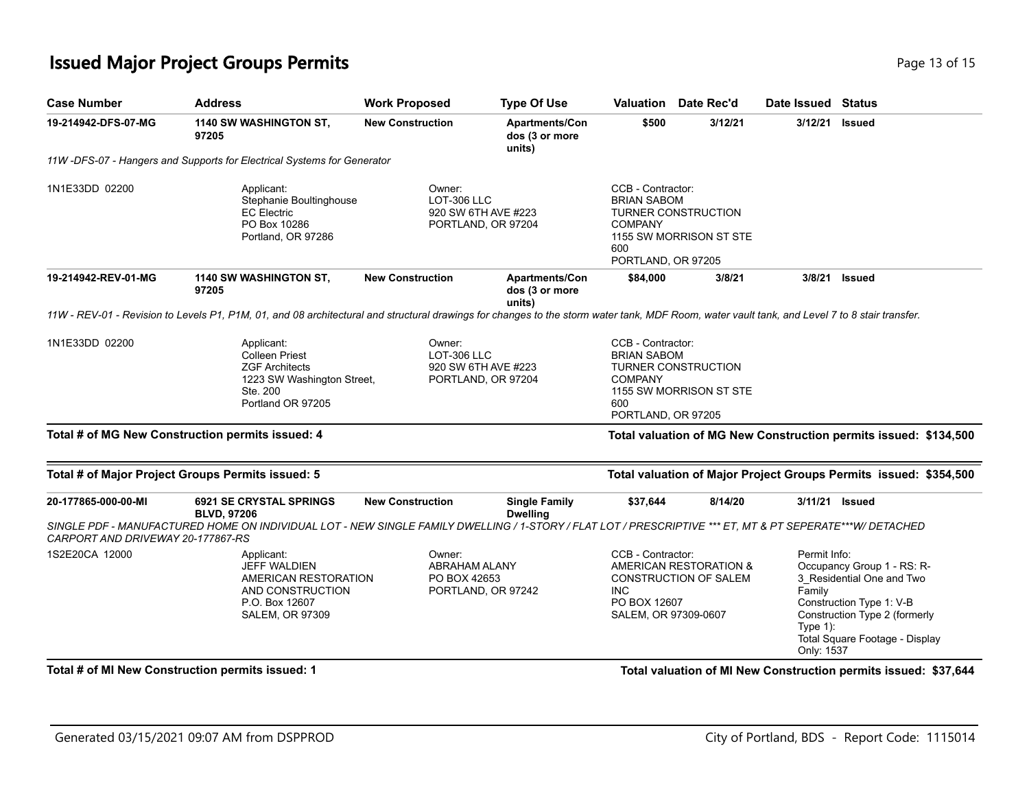## **Issued Major Project Groups Permits Page 13 of 15 and 20 and 20 and 20 and 20 and 20 and 20 and 20 and 20 and 20 and 20 and 20 and 20 and 20 and 20 and 20 and 20 and 20 and 20 and 20 and 20 and 20 and 20 and 20 and 20 a**

| <b>Case Number</b>                                       | <b>Address</b>                                                                                                                                                                                                   | <b>Work Proposed</b>                                                      | <b>Type Of Use</b>                         | Valuation                                                                                                                  | Date Rec'd                                     | Date Issued Status                                 |                                                                                                                                                        |
|----------------------------------------------------------|------------------------------------------------------------------------------------------------------------------------------------------------------------------------------------------------------------------|---------------------------------------------------------------------------|--------------------------------------------|----------------------------------------------------------------------------------------------------------------------------|------------------------------------------------|----------------------------------------------------|--------------------------------------------------------------------------------------------------------------------------------------------------------|
| 19-214942-DFS-07-MG                                      | 1140 SW WASHINGTON ST,<br>97205                                                                                                                                                                                  | <b>New Construction</b>                                                   | Apartments/Con<br>dos (3 or more<br>units) | \$500                                                                                                                      | 3/12/21                                        | 3/12/21                                            | <b>Issued</b>                                                                                                                                          |
|                                                          | 11W-DFS-07 - Hangers and Supports for Electrical Systems for Generator                                                                                                                                           |                                                                           |                                            |                                                                                                                            |                                                |                                                    |                                                                                                                                                        |
| 1N1E33DD 02200                                           | Applicant:<br>Stephanie Boultinghouse<br><b>EC Electric</b><br>PO Box 10286<br>Portland, OR 97286                                                                                                                | Owner:<br>LOT-306 LLC<br>920 SW 6TH AVE #223<br>PORTLAND, OR 97204        |                                            | CCB - Contractor:<br><b>BRIAN SABOM</b><br><b>COMPANY</b><br>600<br>PORTLAND, OR 97205                                     | TURNER CONSTRUCTION<br>1155 SW MORRISON ST STE |                                                    |                                                                                                                                                        |
| 19-214942-REV-01-MG                                      | 1140 SW WASHINGTON ST,<br>97205                                                                                                                                                                                  | <b>New Construction</b>                                                   | Apartments/Con<br>dos (3 or more<br>units) | \$84,000                                                                                                                   | 3/8/21                                         | 3/8/21                                             | <b>Issued</b>                                                                                                                                          |
|                                                          | 11W - REV-01 - Revision to Levels P1, P1M, 01, and 08 architectural and structural drawings for changes to the storm water tank, MDF Room, water vault tank, and Level 7 to 8 stair transfer.                    |                                                                           |                                            |                                                                                                                            |                                                |                                                    |                                                                                                                                                        |
| 1N1E33DD 02200                                           | Applicant:<br><b>Colleen Priest</b><br><b>ZGF Architects</b><br>1223 SW Washington Street,<br>Ste. 200<br>Portland OR 97205                                                                                      | Owner:<br><b>LOT-306 LLC</b><br>920 SW 6TH AVE #223<br>PORTLAND, OR 97204 |                                            | CCB - Contractor:<br><b>BRIAN SABOM</b><br><b>COMPANY</b><br>600<br>PORTLAND, OR 97205                                     | TURNER CONSTRUCTION<br>1155 SW MORRISON ST STE |                                                    |                                                                                                                                                        |
|                                                          | Total # of MG New Construction permits issued: 4                                                                                                                                                                 |                                                                           |                                            |                                                                                                                            |                                                |                                                    | Total valuation of MG New Construction permits issued: \$134,500                                                                                       |
|                                                          | Total # of Major Project Groups Permits issued: 5                                                                                                                                                                |                                                                           |                                            |                                                                                                                            |                                                |                                                    | Total valuation of Major Project Groups Permits issued: \$354,500                                                                                      |
| 20-177865-000-00-MI<br>CARPORT AND DRIVEWAY 20-177867-RS | <b>6921 SE CRYSTAL SPRINGS</b><br><b>BLVD, 97206</b><br>SINGLE PDF - MANUFACTURED HOME ON INDIVIDUAL LOT - NEW SINGLE FAMILY DWELLING / 1-STORY / FLAT LOT / PRESCRIPTIVE *** ET, MT & PT SEPERATE***W/ DETACHED | <b>New Construction</b>                                                   | <b>Single Family</b><br><b>Dwelling</b>    | \$37,644                                                                                                                   | 8/14/20                                        |                                                    | 3/11/21 <b>Issued</b>                                                                                                                                  |
| 1S2E20CA 12000                                           | Applicant:<br><b>JEFF WALDIEN</b><br>AMERICAN RESTORATION<br>AND CONSTRUCTION<br>P.O. Box 12607<br><b>SALEM, OR 97309</b>                                                                                        | Owner:<br><b>ABRAHAM ALANY</b><br>PO BOX 42653                            | PORTLAND, OR 97242                         | CCB - Contractor:<br>AMERICAN RESTORATION &<br>CONSTRUCTION OF SALEM<br><b>INC</b><br>PO BOX 12607<br>SALEM, OR 97309-0607 |                                                | Permit Info:<br>Family<br>Type $1$ :<br>Only: 1537 | Occupancy Group 1 - RS: R-<br>3_Residential One and Two<br>Construction Type 1: V-B<br>Construction Type 2 (formerly<br>Total Square Footage - Display |
|                                                          | Total # of MI New Construction permits issued: 1                                                                                                                                                                 |                                                                           |                                            |                                                                                                                            |                                                |                                                    | Total valuation of MI New Construction permits issued: \$37,644                                                                                        |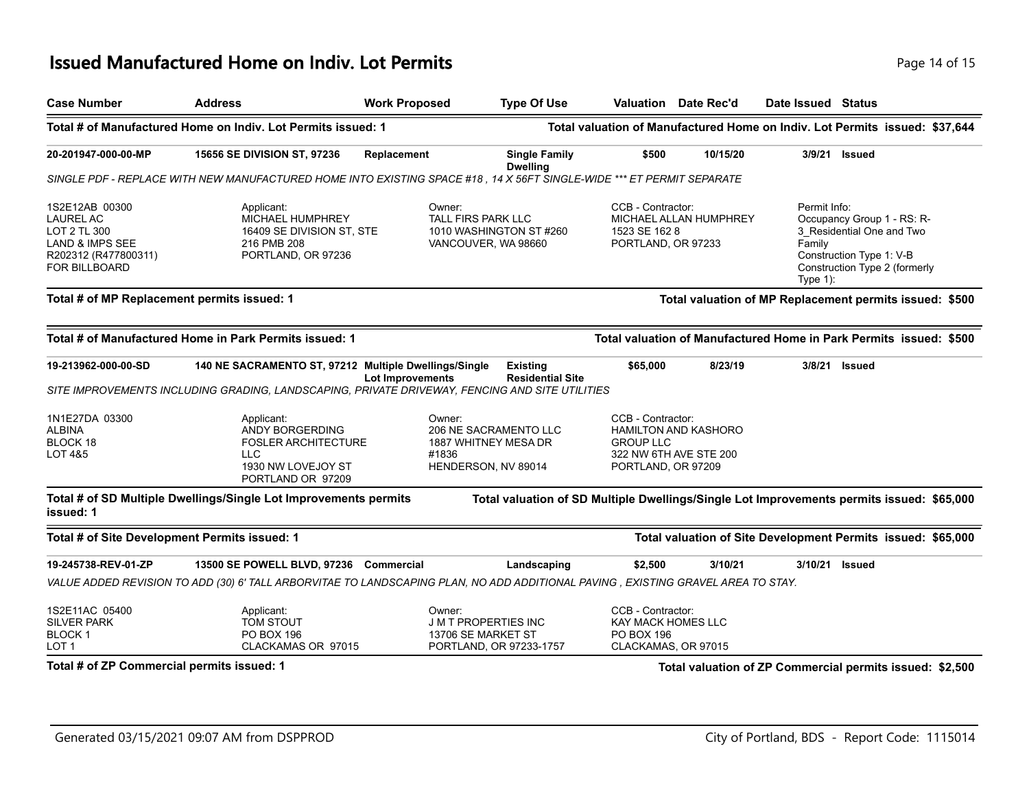#### **Issued Manufactured Home on Indiv. Lot Permits** *Page 14 of 15* **Page 14 of 15**

| <b>Case Number</b>                                                                                             | <b>Address</b>                                                                                                                    | <b>Work Proposed</b>    | <b>Type Of Use</b>                                                           |                                                                                            | <b>Valuation</b> Date Rec'd | Date Issued Status                   |                                                                                                                      |
|----------------------------------------------------------------------------------------------------------------|-----------------------------------------------------------------------------------------------------------------------------------|-------------------------|------------------------------------------------------------------------------|--------------------------------------------------------------------------------------------|-----------------------------|--------------------------------------|----------------------------------------------------------------------------------------------------------------------|
|                                                                                                                | Total # of Manufactured Home on Indiv. Lot Permits issued: 1                                                                      |                         |                                                                              |                                                                                            |                             |                                      | Total valuation of Manufactured Home on Indiv. Lot Permits issued: \$37,644                                          |
| 20-201947-000-00-MP                                                                                            | <b>15656 SE DIVISION ST, 97236</b>                                                                                                | Replacement             | <b>Single Family</b><br><b>Dwelling</b>                                      | \$500                                                                                      | 10/15/20                    |                                      | 3/9/21 Issued                                                                                                        |
|                                                                                                                | SINGLE PDF - REPLACE WITH NEW MANUFACTURED HOME INTO EXISTING SPACE #18 , 14 X 56FT SINGLE-WIDE *** ET PERMIT SEPARATE            |                         |                                                                              |                                                                                            |                             |                                      |                                                                                                                      |
| 1S2E12AB 00300<br><b>LAUREL AC</b><br>LOT 2 TL 300<br>LAND & IMPS SEE<br>R202312 (R477800311)<br>FOR BILLBOARD | Applicant:<br><b>MICHAEL HUMPHREY</b><br>16409 SE DIVISION ST, STE<br>216 PMB 208<br>PORTLAND, OR 97236                           | Owner:                  | <b>TALL FIRS PARK LLC</b><br>1010 WASHINGTON ST #260<br>VANCOUVER, WA 98660  | CCB - Contractor:<br>1523 SE 162 8<br>PORTLAND, OR 97233                                   | MICHAEL ALLAN HUMPHREY      | Permit Info:<br>Family<br>Type $1$ : | Occupancy Group 1 - RS: R-<br>3 Residential One and Two<br>Construction Type 1: V-B<br>Construction Type 2 (formerly |
| Total # of MP Replacement permits issued: 1                                                                    |                                                                                                                                   |                         |                                                                              |                                                                                            |                             |                                      | Total valuation of MP Replacement permits issued: \$500                                                              |
|                                                                                                                | Total # of Manufactured Home in Park Permits issued: 1                                                                            |                         |                                                                              |                                                                                            |                             |                                      | Total valuation of Manufactured Home in Park Permits issued: \$500                                                   |
| 19-213962-000-00-SD                                                                                            | 140 NE SACRAMENTO ST, 97212 Multiple Dwellings/Single                                                                             | <b>Lot Improvements</b> | <b>Existing</b><br><b>Residential Site</b>                                   | \$65,000                                                                                   | 8/23/19                     |                                      | 3/8/21 Issued                                                                                                        |
|                                                                                                                | SITE IMPROVEMENTS INCLUDING GRADING. LANDSCAPING. PRIVATE DRIVEWAY, FENCING AND SITE UTILITIES                                    |                         |                                                                              |                                                                                            |                             |                                      |                                                                                                                      |
| 1N1E27DA 03300<br>ALBINA<br>BLOCK 18<br>LOT 4&5                                                                | Applicant:<br>ANDY BORGERDING<br><b>FOSLER ARCHITECTURE</b><br><b>LLC</b><br>1930 NW LOVEJOY ST<br>PORTLAND OR 97209              | Owner:<br>#1836         | 206 NE SACRAMENTO LLC<br>1887 WHITNEY MESA DR<br>HENDERSON, NV 89014         | CCB - Contractor:<br><b>GROUP LLC</b><br>322 NW 6TH AVE STE 200<br>PORTLAND, OR 97209      | <b>HAMILTON AND KASHORO</b> |                                      |                                                                                                                      |
| issued: 1                                                                                                      | Total # of SD Multiple Dwellings/Single Lot Improvements permits                                                                  |                         |                                                                              |                                                                                            |                             |                                      | Total valuation of SD Multiple Dwellings/Single Lot Improvements permits issued: \$65,000                            |
| Total # of Site Development Permits issued: 1                                                                  |                                                                                                                                   |                         |                                                                              |                                                                                            |                             |                                      | Total valuation of Site Development Permits issued: \$65,000                                                         |
| 19-245738-REV-01-ZP                                                                                            | 13500 SE POWELL BLVD, 97236 Commercial                                                                                            |                         | Landscaping                                                                  | \$2,500                                                                                    | 3/10/21                     | 3/10/21 Issued                       |                                                                                                                      |
|                                                                                                                | VALUE ADDED REVISION TO ADD (30) 6' TALL ARBORVITAE TO LANDSCAPING PLAN, NO ADD ADDITIONAL PAVING , EXISTING GRAVEL AREA TO STAY. |                         |                                                                              |                                                                                            |                             |                                      |                                                                                                                      |
| 1S2E11AC 05400<br><b>SILVER PARK</b><br><b>BLOCK1</b><br>LOT <sub>1</sub>                                      | Applicant:<br>TOM STOUT<br><b>PO BOX 196</b><br>CLACKAMAS OR 97015                                                                | Owner:                  | <b>J M T PROPERTIES INC</b><br>13706 SE MARKET ST<br>PORTLAND, OR 97233-1757 | CCB - Contractor:<br><b>KAY MACK HOMES LLC</b><br><b>PO BOX 196</b><br>CLACKAMAS, OR 97015 |                             |                                      |                                                                                                                      |
| Total # of ZP Commercial permits issued: 1                                                                     |                                                                                                                                   |                         |                                                                              |                                                                                            |                             |                                      | Total valuation of ZP Commercial permits issued: \$2,500                                                             |